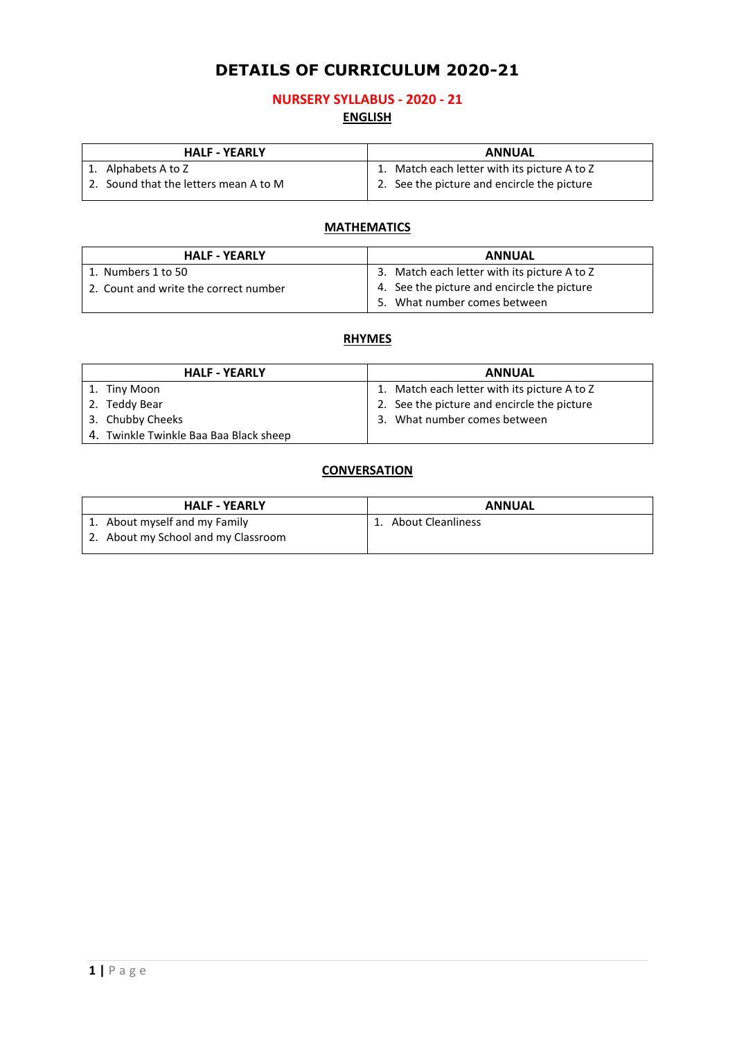# **DETAILS OF CURRICULUM 2020-21**

### **NURSERY SYLLABUS - 2020 - 21 ENGLISH**

| <b>HALF - YEARLY</b>                  | <b>ANNUAL</b>                                |
|---------------------------------------|----------------------------------------------|
| 1. Alphabets A to Z                   | 1. Match each letter with its picture A to Z |
| 2. Sound that the letters mean A to M | 2. See the picture and encircle the picture  |

### **MATHEMATICS**

| <b>HALF - YEARLY</b>                  | <b>ANNUAL</b>                                                               |
|---------------------------------------|-----------------------------------------------------------------------------|
| 1. Numbers 1 to 50                    | 3. Match each letter with its picture A to Z                                |
| 2. Count and write the correct number | 4. See the picture and encircle the picture<br>5. What number comes between |

### **RHYMES**

| <b>HALF - YEARLY</b>                   | <b>ANNUAL</b>                                |
|----------------------------------------|----------------------------------------------|
| 1. Tiny Moon                           | 1. Match each letter with its picture A to Z |
| 2. Teddy Bear                          | 2. See the picture and encircle the picture  |
| 3. Chubby Cheeks                       | 3. What number comes between                 |
| 4. Twinkle Twinkle Baa Baa Black sheep |                                              |

### **CONVERSATION**

| <b>HALF - YEARLY</b>                | <b>ANNUAL</b>            |
|-------------------------------------|--------------------------|
| 1. About myself and my Family       | <b>About Cleanliness</b> |
| 2. About my School and my Classroom |                          |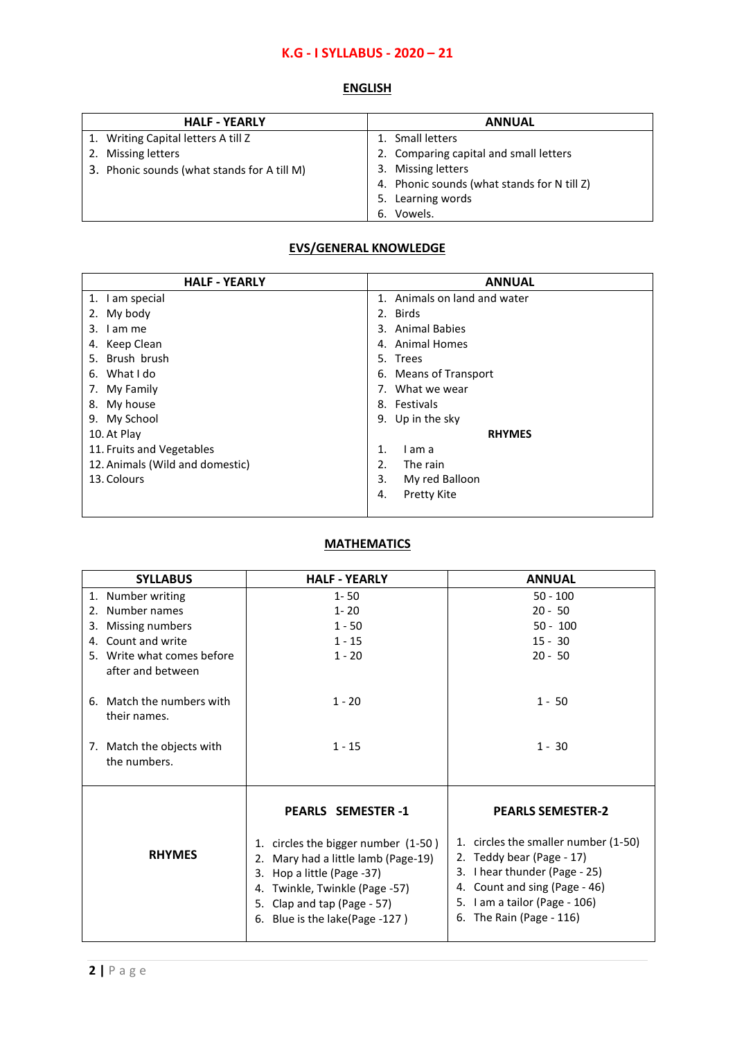## **K.G - I SYLLABUS - 2020 – 21**

## **ENGLISH**

| <b>HALF - YEARLY</b>                        | <b>ANNUAL</b>                               |
|---------------------------------------------|---------------------------------------------|
| 1. Writing Capital letters A till Z         | 1. Small letters                            |
| 2. Missing letters                          | 2. Comparing capital and small letters      |
| 3. Phonic sounds (what stands for A till M) | 3. Missing letters                          |
|                                             | 4. Phonic sounds (what stands for N till Z) |
|                                             | Learning words<br>5.                        |
|                                             | Vowels.<br>6.                               |

### **EVS/GENERAL KNOWLEDGE**

| <b>HALF - YEARLY</b>            | <b>ANNUAL</b>                        |
|---------------------------------|--------------------------------------|
| 1. I am special                 | Animals on land and water<br>$1_{-}$ |
| My body<br>2.                   | 2. Birds                             |
| I am me<br>3.                   | 3. Animal Babies                     |
| Keep Clean<br>4.                | 4. Animal Homes                      |
| 5. Brush brush                  | 5. Trees                             |
| 6. What I do                    | 6. Means of Transport                |
| 7. My Family                    | 7. What we wear                      |
| 8. My house                     | 8. Festivals                         |
| 9. My School                    | 9. Up in the sky                     |
| 10. At Play                     | <b>RHYMES</b>                        |
| 11. Fruits and Vegetables       | 1.<br>I am a                         |
| 12. Animals (Wild and domestic) | 2.<br>The rain                       |
| 13. Colours                     | 3.<br>My red Balloon                 |
|                                 | <b>Pretty Kite</b><br>4.             |
|                                 |                                      |

## **MATHEMATICS**

| <b>SYLLABUS</b>                                                                        | <b>HALF - YEARLY</b>                                                                                                                                                                                                                    | <b>ANNUAL</b>                                                                                                                                                                                                                |
|----------------------------------------------------------------------------------------|-----------------------------------------------------------------------------------------------------------------------------------------------------------------------------------------------------------------------------------------|------------------------------------------------------------------------------------------------------------------------------------------------------------------------------------------------------------------------------|
| 1. Number writing                                                                      | $1 - 50$                                                                                                                                                                                                                                | $50 - 100$                                                                                                                                                                                                                   |
| 2. Number names                                                                        | $1 - 20$                                                                                                                                                                                                                                | $20 - 50$                                                                                                                                                                                                                    |
| Missing numbers<br>3.                                                                  | $1 - 50$                                                                                                                                                                                                                                | $50 - 100$                                                                                                                                                                                                                   |
| Count and write<br>4.                                                                  | $1 - 15$                                                                                                                                                                                                                                | $15 - 30$                                                                                                                                                                                                                    |
| 5. Write what comes before<br>after and between                                        | $1 - 20$                                                                                                                                                                                                                                | $20 - 50$                                                                                                                                                                                                                    |
| 6. Match the numbers with<br>their names.<br>7. Match the objects with<br>the numbers. | $1 - 20$<br>$1 - 15$                                                                                                                                                                                                                    | $1 - 50$<br>$1 - 30$                                                                                                                                                                                                         |
| <b>RHYMES</b>                                                                          | <b>PEARLS SEMESTER-1</b><br>1. circles the bigger number (1-50)<br>2. Mary had a little lamb (Page-19)<br>3. Hop a little (Page -37)<br>4. Twinkle, Twinkle (Page -57)<br>5. Clap and tap (Page - 57)<br>6. Blue is the lake(Page -127) | <b>PEARLS SEMESTER-2</b><br>1. circles the smaller number (1-50)<br>2. Teddy bear (Page - 17)<br>3. I hear thunder (Page - 25)<br>4. Count and sing (Page - 46)<br>5. I am a tailor (Page - 106)<br>6. The Rain (Page - 116) |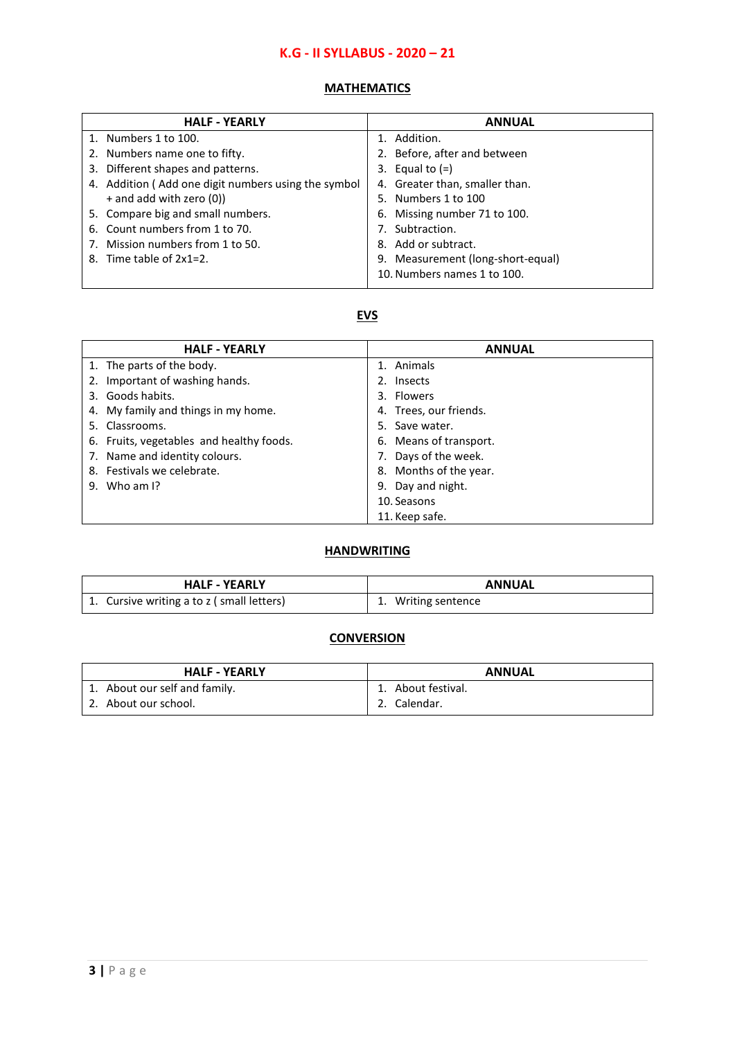## **K.G - II SYLLABUS - 2020 – 21**

#### **MATHEMATICS**

| <b>HALF - YEARLY</b>                                | <b>ANNUAL</b>                     |
|-----------------------------------------------------|-----------------------------------|
| 1. Numbers 1 to 100.                                | 1. Addition.                      |
| 2. Numbers name one to fifty.                       | 2. Before, after and between      |
| 3. Different shapes and patterns.                   | 3. Equal to $(=)$                 |
| 4. Addition (Add one digit numbers using the symbol | 4. Greater than, smaller than.    |
| $+$ and add with zero (0))                          | 5. Numbers 1 to 100               |
| 5. Compare big and small numbers.                   | 6. Missing number 71 to 100.      |
| 6. Count numbers from 1 to 70.                      | Subtraction.                      |
| 7. Mission numbers from 1 to 50.                    | 8. Add or subtract.               |
| 8. Time table of $2x1=2$ .                          | 9. Measurement (long-short-equal) |
|                                                     | 10. Numbers names 1 to 100.       |

#### **EVS**

| <b>HALF - YEARLY</b>                     | <b>ANNUAL</b>          |
|------------------------------------------|------------------------|
| 1. The parts of the body.                | 1. Animals             |
| 2. Important of washing hands.           | 2. Insects             |
| 3. Goods habits.                         | 3. Flowers             |
| 4. My family and things in my home.      | 4. Trees, our friends. |
| 5. Classrooms.                           | 5. Save water.         |
| 6. Fruits, vegetables and healthy foods. | 6. Means of transport. |
| 7. Name and identity colours.            | 7. Days of the week.   |
| 8. Festivals we celebrate.               | 8. Months of the year. |
| 9. Who am $\mathsf{I}$ ?                 | 9. Day and night.      |
|                                          | 10. Seasons            |
|                                          | 11. Keep safe.         |

### **HANDWRITING**

| <b>HALF - YEARLY</b>                      | <b>ANNUAL</b>    |
|-------------------------------------------|------------------|
| 1. Cursive writing a to z (small letters) | Writing sentence |

#### **CONVERSION**

| <b>HALF - YEARLY</b>          | <b>ANNUAL</b>      |
|-------------------------------|--------------------|
| 1. About our self and family. | 1. About festival. |
| 2. About our school.          | Calendar.          |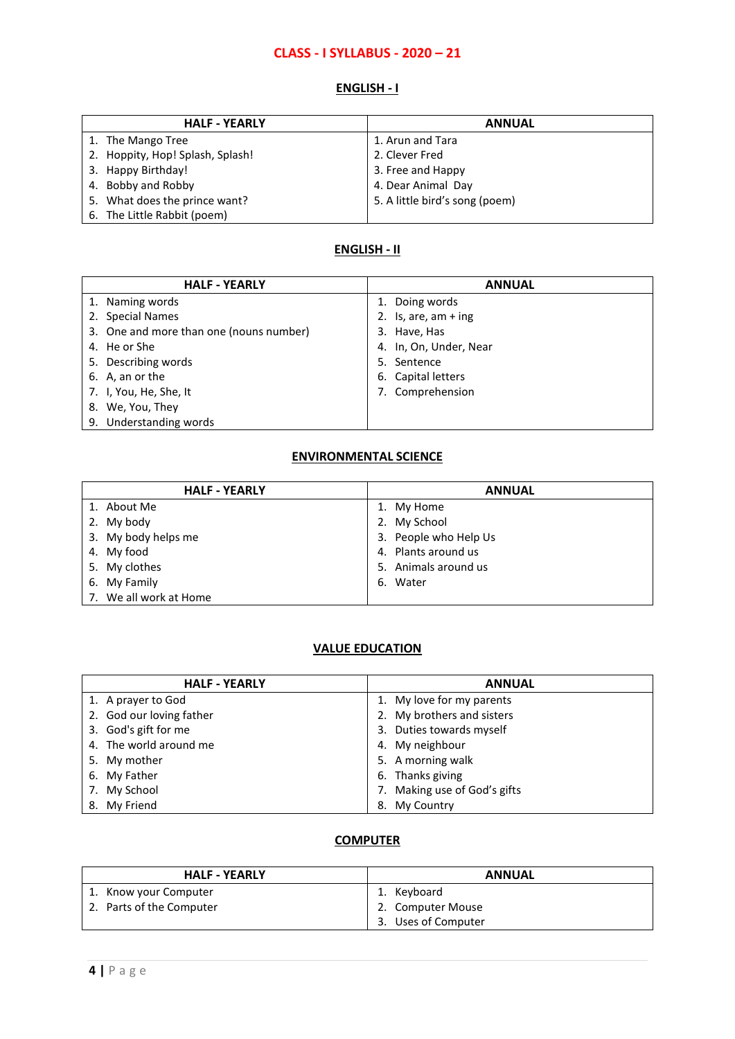## **CLASS - I SYLLABUS - 2020 – 21**

### **ENGLISH - I**

| <b>HALF - YEARLY</b>             | <b>ANNUAL</b>                  |
|----------------------------------|--------------------------------|
| 1. The Mango Tree                | 1. Arun and Tara               |
| 2. Hoppity, Hop! Splash, Splash! | 2. Clever Fred                 |
| 3. Happy Birthday!               | 3. Free and Happy              |
| 4. Bobby and Robby               | 4. Dear Animal Day             |
| 5. What does the prince want?    | 5. A little bird's song (poem) |
| 6. The Little Rabbit (poem)      |                                |

#### **ENGLISH - II**

| <b>HALF - YEARLY</b>                    | <b>ANNUAL</b>          |
|-----------------------------------------|------------------------|
| 1. Naming words                         | 1. Doing words         |
| 2. Special Names                        | 2. Is, are, $am + ing$ |
| 3. One and more than one (nouns number) | 3. Have, Has           |
| 4. He or She                            | 4. In, On, Under, Near |
| 5. Describing words                     | 5. Sentence            |
| 6. A, an or the                         | 6. Capital letters     |
| 7. I, You, He, She, It                  | 7. Comprehension       |
| 8. We, You, They                        |                        |
| 9. Understanding words                  |                        |

## **ENVIRONMENTAL SCIENCE**

| <b>HALF - YEARLY</b>   | <b>ANNUAL</b>         |  |
|------------------------|-----------------------|--|
| 1. About Me            | 1. My Home            |  |
| 2. My body             | 2. My School          |  |
| 3. My body helps me    | 3. People who Help Us |  |
| 4. My food             | 4. Plants around us   |  |
| 5. My clothes          | 5. Animals around us  |  |
| 6. My Family           | 6. Water              |  |
| 7. We all work at Home |                       |  |

#### **VALUE EDUCATION**

| <b>HALF - YEARLY</b>     | <b>ANNUAL</b>                |
|--------------------------|------------------------------|
| 1. A prayer to God       | 1. My love for my parents    |
| 2. God our loving father | 2. My brothers and sisters   |
| 3. God's gift for me     | 3. Duties towards myself     |
| 4. The world around me   | 4. My neighbour              |
| 5. My mother             | 5. A morning walk            |
| 6. My Father             | 6. Thanks giving             |
| 7. My School             | 7. Making use of God's gifts |
| 8. My Friend             | 8. My Country                |

| <b>HALF - YEARLY</b>     | <b>ANNUAL</b>       |  |
|--------------------------|---------------------|--|
| 1. Know your Computer    | 1. Kevboard         |  |
| 2. Parts of the Computer | 2. Computer Mouse   |  |
|                          | 3. Uses of Computer |  |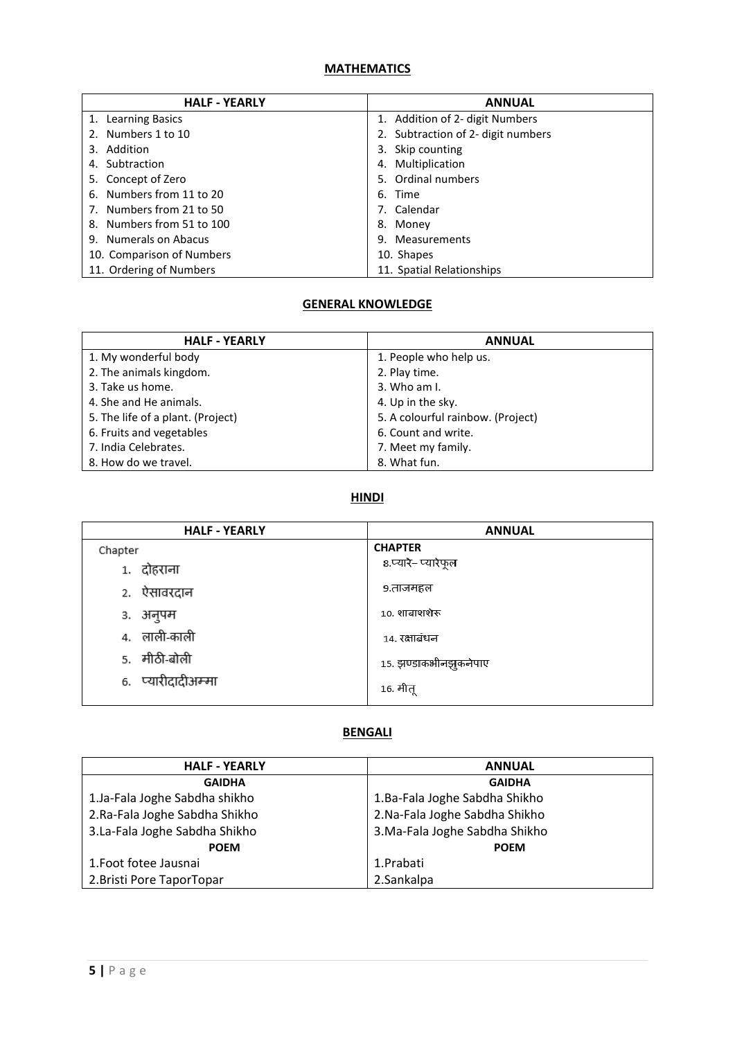| <b>HALF - YEARLY</b>      | <b>ANNUAL</b>                      |
|---------------------------|------------------------------------|
| 1. Learning Basics        | 1. Addition of 2- digit Numbers    |
| 2. Numbers 1 to 10        | 2. Subtraction of 2- digit numbers |
| 3. Addition               | 3. Skip counting                   |
| 4. Subtraction            | 4. Multiplication                  |
| 5. Concept of Zero        | 5. Ordinal numbers                 |
| 6. Numbers from 11 to 20  | 6. Time                            |
| 7. Numbers from 21 to 50  | 7. Calendar                        |
| 8. Numbers from 51 to 100 | 8. Money                           |
| 9. Numerals on Abacus     | 9. Measurements                    |
| 10. Comparison of Numbers | 10. Shapes                         |
| 11. Ordering of Numbers   | 11. Spatial Relationships          |

#### **GENERAL KNOWLEDGE**

| <b>HALF - YEARLY</b>              | <b>ANNUAL</b>                     |
|-----------------------------------|-----------------------------------|
| 1. My wonderful body              | 1. People who help us.            |
| 2. The animals kingdom.           | 2. Play time.                     |
| 3. Take us home.                  | $3.$ Who am I.                    |
| 4. She and He animals.            | 4. Up in the sky.                 |
| 5. The life of a plant. (Project) | 5. A colourful rainbow. (Project) |
| 6. Fruits and vegetables          | 6. Count and write.               |
| 7. India Celebrates.              | 7. Meet my family.                |
| 8. How do we travel.              | 8. What fun.                      |

## **HINDI**

| <b>HALF - YEARLY</b> | <b>ANNUAL</b>         |
|----------------------|-----------------------|
| Chapter              | <b>CHAPTER</b>        |
| 1. दोहराना           | ८.प्यारे–प्यारेफूल    |
| २. ऐसावरदान          | ९.ताजमहल              |
| ३. अनुपम             | 10. शाबाशशेरू         |
| 4. लाली-काली         | 14. रक्षाबंधन         |
| 5. मीठी-बोली         | 15. झण्डाकभीनझुकनेपाए |
| 6. प्यारीदादीअम्मा   | 16. मीतू              |

#### **BENGALI**

| <b>HALF - YEARLY</b>           | <b>ANNUAL</b>                  |
|--------------------------------|--------------------------------|
| <b>GAIDHA</b>                  | <b>GAIDHA</b>                  |
| 1.Ja-Fala Joghe Sabdha shikho  | 1.Ba-Fala Joghe Sabdha Shikho  |
| 2. Ra-Fala Joghe Sabdha Shikho | 2.Na-Fala Joghe Sabdha Shikho  |
| 3.La-Fala Joghe Sabdha Shikho  | 3. Ma-Fala Joghe Sabdha Shikho |
| <b>POEM</b>                    | <b>POEM</b>                    |
| 1. Foot fotee Jausnai          | 1.Prabati                      |
| 2. Bristi Pore TaporTopar      | 2.Sankalpa                     |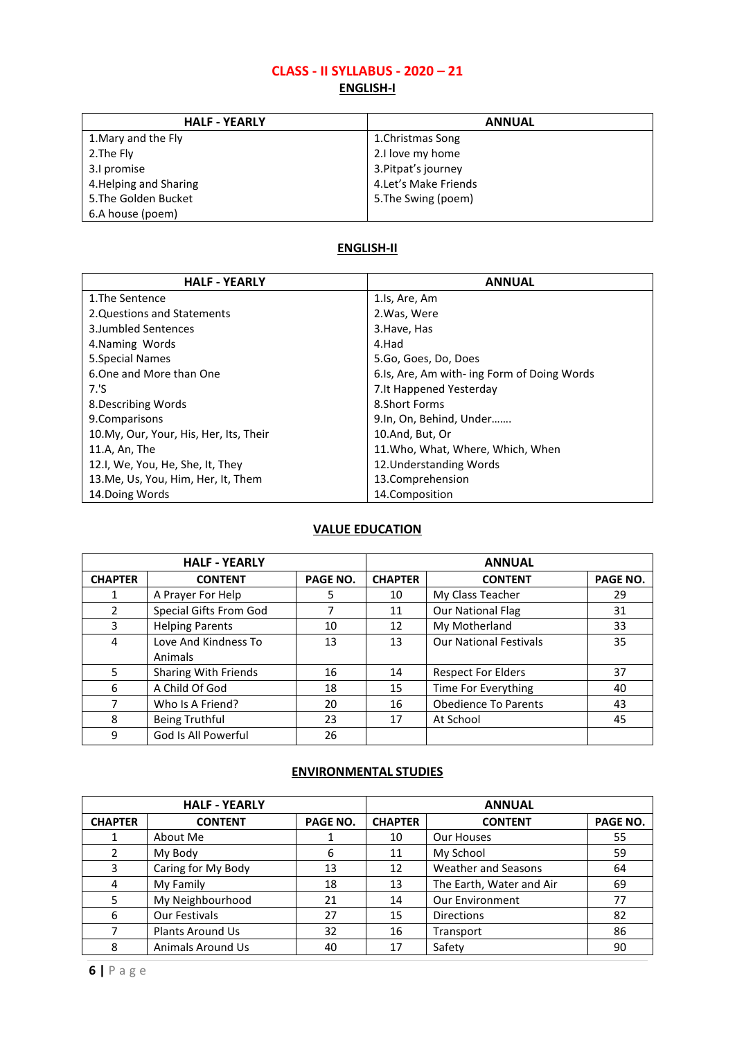# **CLASS - II SYLLABUS - 2020 – 21**

## **ENGLISH-I**

| <b>HALF - YEARLY</b>   | <b>ANNUAL</b>         |
|------------------------|-----------------------|
| 1. Mary and the Fly    | 1. Christmas Song     |
| 2. The Fly             | 2.I love my home      |
| 3.1 promise            | 3. Pitpat's journey   |
| 4. Helping and Sharing | 4. Let's Make Friends |
| 5. The Golden Bucket   | 5. The Swing (poem)   |
| 6.A house (poem)       |                       |

#### **ENGLISH-II**

| <b>HALF - YEARLY</b>                    | <b>ANNUAL</b>                               |
|-----------------------------------------|---------------------------------------------|
| 1. The Sentence                         | 1.ls, Are, Am                               |
| 2. Questions and Statements             | 2. Was, Were                                |
| 3. Jumbled Sentences                    | 3. Have, Has                                |
| 4. Naming Words                         | 4.Had                                       |
| 5. Special Names                        | 5.Go, Goes, Do, Does                        |
| 6. One and More than One                | 6.Is, Are, Am with- ing Form of Doing Words |
| 7.'S                                    | 7. It Happened Yesterday                    |
| 8. Describing Words                     | 8.Short Forms                               |
| 9. Comparisons                          | 9.In, On, Behind, Under                     |
| 10. My, Our, Your, His, Her, Its, Their | 10.And, But, Or                             |
| 11.A, An, The                           | 11. Who, What, Where, Which, When           |
| 12.I, We, You, He, She, It, They        | 12. Understanding Words                     |
| 13.Me, Us, You, Him, Her, It, Them      | 13.Comprehension                            |
| 14. Doing Words                         | 14.Composition                              |

## **VALUE EDUCATION**

| <b>HALF - YEARLY</b> |                             |                 | <b>ANNUAL</b>  |                               |          |
|----------------------|-----------------------------|-----------------|----------------|-------------------------------|----------|
| <b>CHAPTER</b>       | <b>CONTENT</b>              | <b>PAGE NO.</b> | <b>CHAPTER</b> | <b>CONTENT</b>                | PAGE NO. |
|                      | A Prayer For Help           | 5               | 10             | My Class Teacher              | 29       |
| 2                    | Special Gifts From God      | 7               | 11             | <b>Our National Flag</b>      | 31       |
| 3                    | <b>Helping Parents</b>      | 10              | 12             | My Motherland                 | 33       |
| 4                    | Love And Kindness To        | 13              | 13             | <b>Our National Festivals</b> | 35       |
|                      | Animals                     |                 |                |                               |          |
| 5                    | <b>Sharing With Friends</b> | 16              | 14             | <b>Respect For Elders</b>     | 37       |
| 6                    | A Child Of God              | 18              | 15             | Time For Everything           | 40       |
| 7                    | Who Is A Friend?            | 20              | 16             | <b>Obedience To Parents</b>   | 43       |
| 8                    | Being Truthful              | 23              | 17             | At School                     | 45       |
| 9                    | God Is All Powerful         | 26              |                |                               |          |

### **ENVIRONMENTAL STUDIES**

| <b>HALF - YEARLY</b> |                          |          | <b>ANNUAL</b>  |                            |          |
|----------------------|--------------------------|----------|----------------|----------------------------|----------|
| <b>CHAPTER</b>       | <b>CONTENT</b>           | PAGE NO. | <b>CHAPTER</b> | <b>CONTENT</b>             | PAGE NO. |
|                      | About Me                 |          | 10             | Our Houses                 | 55       |
| $\mathcal{P}$        | My Body                  | 6        | 11             | My School                  | 59       |
| 3                    | Caring for My Body       | 13       | 12             | <b>Weather and Seasons</b> | 64       |
| 4                    | My Family                | 18       | 13             | The Earth, Water and Air   | 69       |
| 5.                   | My Neighbourhood         | 21       | 14             | <b>Our Environment</b>     | 77       |
| 6                    | Our Festivals            | 27       | 15             | <b>Directions</b>          | 82       |
|                      | <b>Plants Around Us</b>  | 32       | 16             | Transport                  | 86       |
| 8                    | <b>Animals Around Us</b> | 40       | 17             | Safety                     | 90       |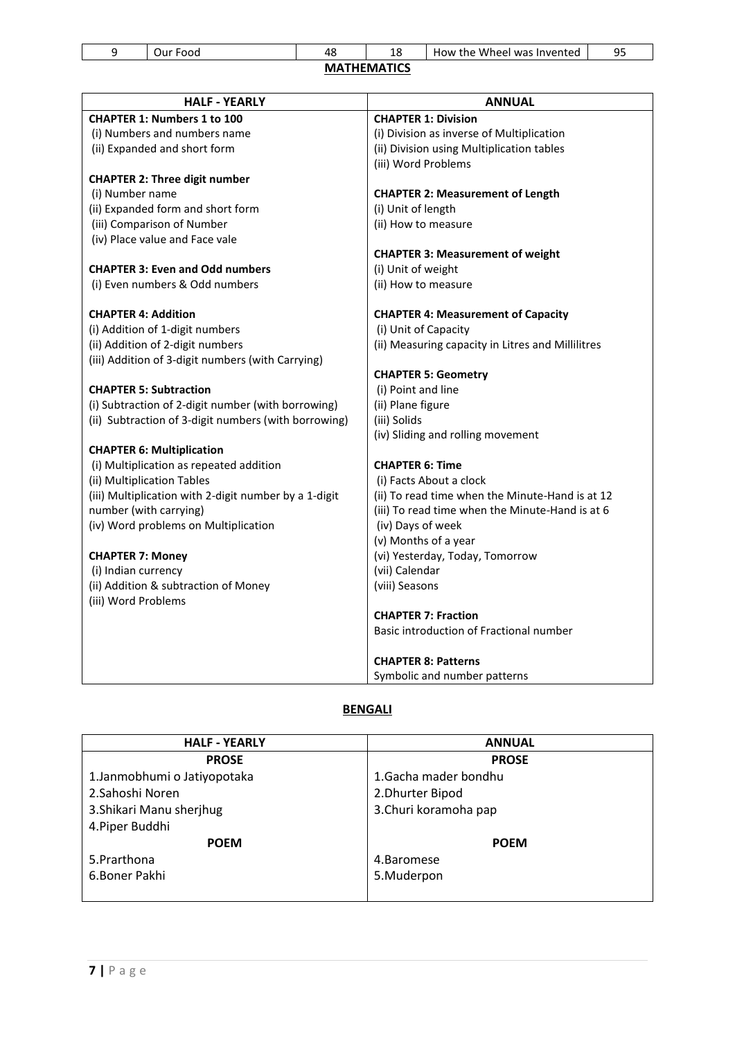|             |           | ᅩ |                                 | -- |
|-------------|-----------|---|---------------------------------|----|
| Jur<br>-uoc | . .<br>ە4 |   | : Wheel was Invented<br>How the | ΩE |

| <b>HALF - YEARLY</b>                                  | <b>ANNUAL</b>                                     |
|-------------------------------------------------------|---------------------------------------------------|
| <b>CHAPTER 1: Numbers 1 to 100</b>                    | <b>CHAPTER 1: Division</b>                        |
| (i) Numbers and numbers name                          | (i) Division as inverse of Multiplication         |
| (ii) Expanded and short form                          | (ii) Division using Multiplication tables         |
|                                                       | (iii) Word Problems                               |
| <b>CHAPTER 2: Three digit number</b>                  |                                                   |
| (i) Number name                                       | <b>CHAPTER 2: Measurement of Length</b>           |
| (ii) Expanded form and short form                     | (i) Unit of length                                |
| (iii) Comparison of Number                            | (ii) How to measure                               |
| (iv) Place value and Face vale                        |                                                   |
|                                                       | <b>CHAPTER 3: Measurement of weight</b>           |
| <b>CHAPTER 3: Even and Odd numbers</b>                | (i) Unit of weight                                |
| (i) Even numbers & Odd numbers                        | (ii) How to measure                               |
| <b>CHAPTER 4: Addition</b>                            | <b>CHAPTER 4: Measurement of Capacity</b>         |
| (i) Addition of 1-digit numbers                       | (i) Unit of Capacity                              |
| (ii) Addition of 2-digit numbers                      | (ii) Measuring capacity in Litres and Millilitres |
| (iii) Addition of 3-digit numbers (with Carrying)     |                                                   |
|                                                       | <b>CHAPTER 5: Geometry</b>                        |
| <b>CHAPTER 5: Subtraction</b>                         | (i) Point and line                                |
| (i) Subtraction of 2-digit number (with borrowing)    | (ii) Plane figure                                 |
| (ii) Subtraction of 3-digit numbers (with borrowing)  | (iii) Solids                                      |
|                                                       | (iv) Sliding and rolling movement                 |
| <b>CHAPTER 6: Multiplication</b>                      |                                                   |
| (i) Multiplication as repeated addition               | <b>CHAPTER 6: Time</b>                            |
| (ii) Multiplication Tables                            | (i) Facts About a clock                           |
| (iii) Multiplication with 2-digit number by a 1-digit | (ii) To read time when the Minute-Hand is at 12   |
| number (with carrying)                                | (iii) To read time when the Minute-Hand is at 6   |
| (iv) Word problems on Multiplication                  | (iv) Days of week                                 |
|                                                       | (v) Months of a year                              |
| <b>CHAPTER 7: Money</b>                               | (vi) Yesterday, Today, Tomorrow                   |
| (i) Indian currency                                   | (vii) Calendar                                    |
| (ii) Addition & subtraction of Money                  | (viii) Seasons                                    |
| (iii) Word Problems                                   |                                                   |
|                                                       | <b>CHAPTER 7: Fraction</b>                        |
|                                                       | Basic introduction of Fractional number           |
|                                                       | <b>CHAPTER 8: Patterns</b>                        |
|                                                       | Symbolic and number patterns                      |

## **BENGALI**

| <b>HALF - YEARLY</b>         | <b>ANNUAL</b>         |  |  |
|------------------------------|-----------------------|--|--|
| <b>PROSE</b>                 | <b>PROSE</b>          |  |  |
| 1. Janmobhumi o Jatiyopotaka | 1. Gacha mader bondhu |  |  |
| 2. Sahoshi Noren             | 2. Dhurter Bipod      |  |  |
| 3. Shikari Manu sherjhug     | 3.Churi koramoha pap  |  |  |
| 4. Piper Buddhi              |                       |  |  |
| <b>POEM</b>                  | <b>POEM</b>           |  |  |
| 5.Prarthona                  | 4.Baromese            |  |  |
| 6.Boner Pakhi                | 5.Muderpon            |  |  |
|                              |                       |  |  |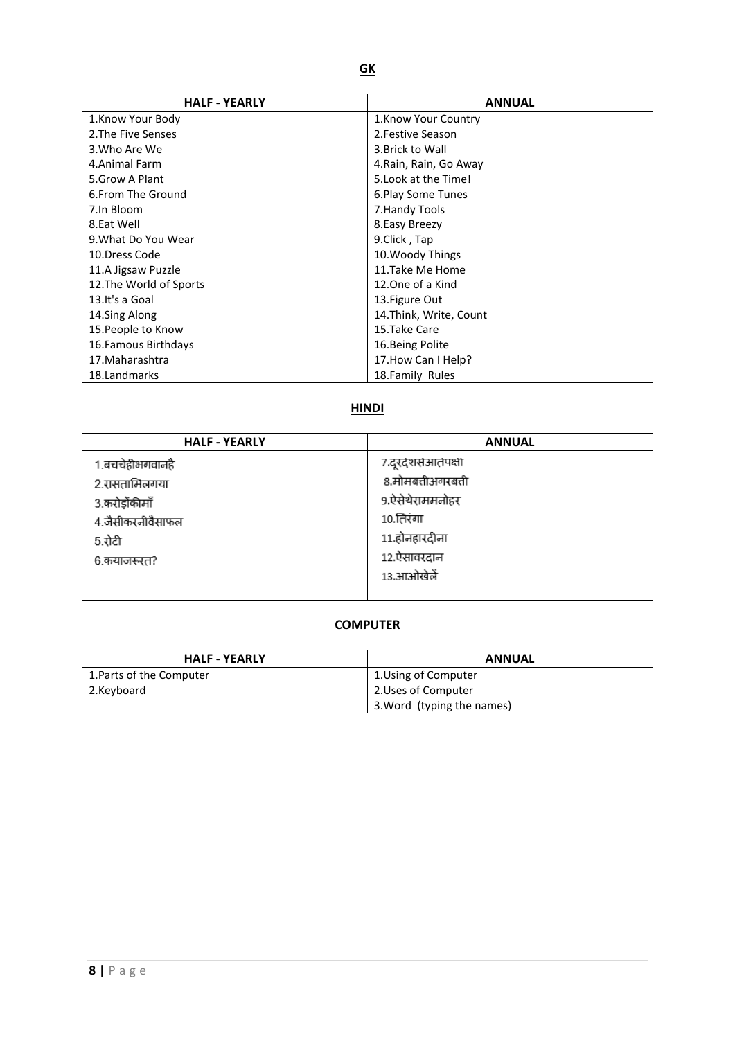| <b>HALF - YEARLY</b>    | <b>ANNUAL</b>           |  |
|-------------------------|-------------------------|--|
| 1.Know Your Body        | 1. Know Your Country    |  |
| 2. The Five Senses      | 2. Festive Season       |  |
| 3. Who Are We           | 3. Brick to Wall        |  |
| 4. Animal Farm          | 4. Rain, Rain, Go Away  |  |
| 5. Grow A Plant         | 5. Look at the Time!    |  |
| 6. From The Ground      | 6. Play Some Tunes      |  |
| 7.In Bloom              | 7. Handy Tools          |  |
| 8.Eat Well              | 8. Easy Breezy          |  |
| 9. What Do You Wear     | 9.Click, Tap            |  |
| 10.Dress Code           | 10. Woody Things        |  |
| 11.A Jigsaw Puzzle      | 11.Take Me Home         |  |
| 12. The World of Sports | 12. One of a Kind       |  |
| 13. It's a Goal         | 13. Figure Out          |  |
| 14.Sing Along           | 14. Think, Write, Count |  |
| 15. People to Know      | 15.Take Care            |  |
| 16. Famous Birthdays    | 16. Being Polite        |  |
| 17. Maharashtra         | 17. How Can I Help?     |  |
| 18. Landmarks           | 18. Family Rules        |  |

## **HINDI**

| <b>HALF - YEARLY</b> | <b>ANNUAL</b>      |
|----------------------|--------------------|
| 1.बचचेहीभगवानहै      | ७.दूरदेशसआतपक्षा   |
| 2.रासतामिलगया        | 8.मोमबत्तीअगरबत्ती |
| 3.करोड़ोंकीमाँ       | 9.ऐसेथेराममनोहर    |
| 4.जैसीकरनीवैसाफल     | 10.तिरंगा          |
| 5.रोटी               | 11.होनहारदीना      |
| 6.कयाजरूरत?          | 12.ऐसावरदान        |
|                      | 13.आओखेलें         |
|                      |                    |

| <b>HALF - YEARLY</b>     | <b>ANNUAL</b>              |  |
|--------------------------|----------------------------|--|
| 1. Parts of the Computer | 1. Using of Computer       |  |
| 2.Keyboard               | 2. Uses of Computer        |  |
|                          | 3. Word (typing the names) |  |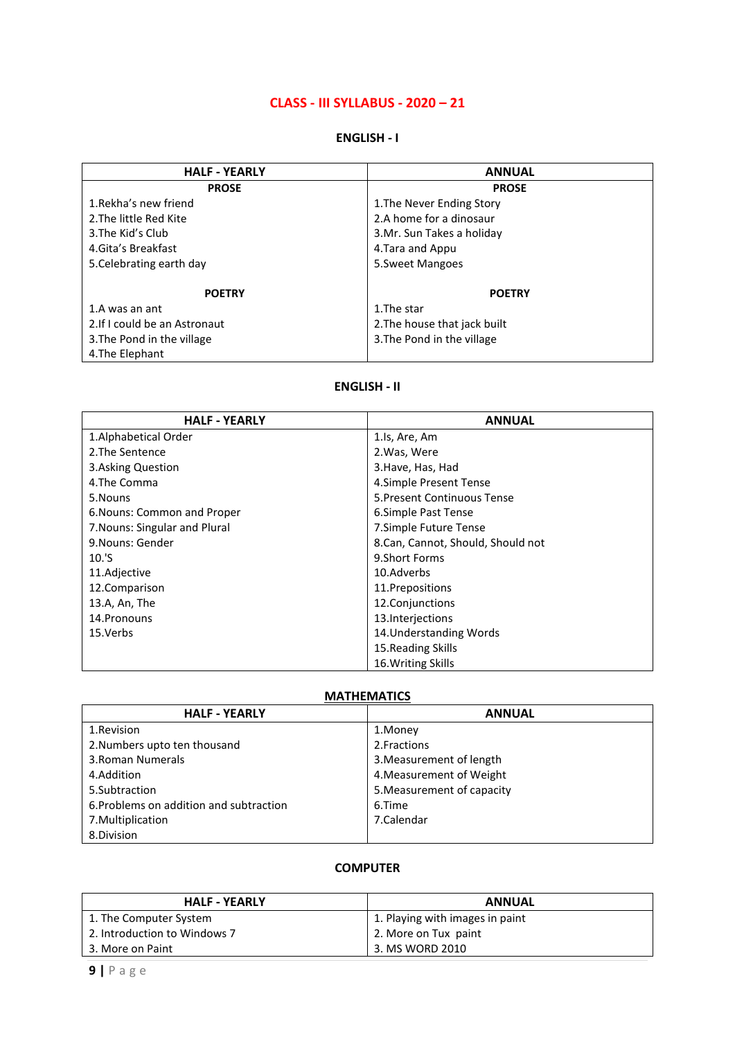### **CLASS - III SYLLABUS - 2020 – 21**

#### **ENGLISH - I**

| <b>HALF - YEARLY</b>          | <b>ANNUAL</b>                |  |  |
|-------------------------------|------------------------------|--|--|
| <b>PROSE</b>                  | <b>PROSE</b>                 |  |  |
| 1. Rekha's new friend         | 1. The Never Ending Story    |  |  |
| 2. The little Red Kite        | 2.A home for a dinosaur      |  |  |
| 3. The Kid's Club             | 3.Mr. Sun Takes a holiday    |  |  |
| 4. Gita's Breakfast           | 4. Tara and Appu             |  |  |
| 5. Celebrating earth day      | 5. Sweet Mangoes             |  |  |
|                               |                              |  |  |
| <b>POETRY</b>                 | <b>POETRY</b>                |  |  |
| 1.A was an ant                | 1. The star                  |  |  |
| 2. If I could be an Astronaut | 2. The house that jack built |  |  |
| 3. The Pond in the village    | 3. The Pond in the village   |  |  |
| 4. The Elephant               |                              |  |  |

#### **ENGLISH - II**

| <b>HALF - YEARLY</b>          | <b>ANNUAL</b>                     |  |
|-------------------------------|-----------------------------------|--|
| 1. Alphabetical Order         | 1.ls, Are, Am                     |  |
| 2. The Sentence               | 2. Was, Were                      |  |
| 3. Asking Question            | 3. Have, Has, Had                 |  |
| 4. The Comma                  | 4. Simple Present Tense           |  |
| 5.Nouns                       | 5. Present Continuous Tense       |  |
| 6. Nouns: Common and Proper   | 6. Simple Past Tense              |  |
| 7. Nouns: Singular and Plural | 7.Simple Future Tense             |  |
| 9. Nouns: Gender              | 8.Can, Cannot, Should, Should not |  |
| 10.'S                         | 9. Short Forms                    |  |
| 11.Adjective                  | 10.Adverbs                        |  |
| 12.Comparison                 | 11. Prepositions                  |  |
| 13.A, An, The                 | 12. Conjunctions                  |  |
| 14. Pronouns                  | 13. Interjections                 |  |
| 15.Verbs                      | 14. Understanding Words           |  |
|                               | 15. Reading Skills                |  |
|                               | 16. Writing Skills                |  |

# **MATHEMATICS**

| <b>HALF - YEARLY</b>                    | <b>ANNUAL</b>              |  |
|-----------------------------------------|----------------------------|--|
| 1.Revision                              | 1.Money                    |  |
| 2. Numbers upto ten thousand            | 2. Fractions               |  |
| 3. Roman Numerals                       | 3. Measurement of length   |  |
| 4.Addition                              | 4. Measurement of Weight   |  |
| 5. Subtraction                          | 5. Measurement of capacity |  |
| 6. Problems on addition and subtraction | 6.Time                     |  |
| 7. Multiplication                       | 7.Calendar                 |  |
| 8.Division                              |                            |  |

| <b>HALF - YEARLY</b>         | <b>ANNUAL</b>                   |  |  |
|------------------------------|---------------------------------|--|--|
| 1. The Computer System       | 1. Playing with images in paint |  |  |
| 2. Introduction to Windows 7 | 2. More on Tux paint            |  |  |
| 3. More on Paint             | 3. MS WORD 2010                 |  |  |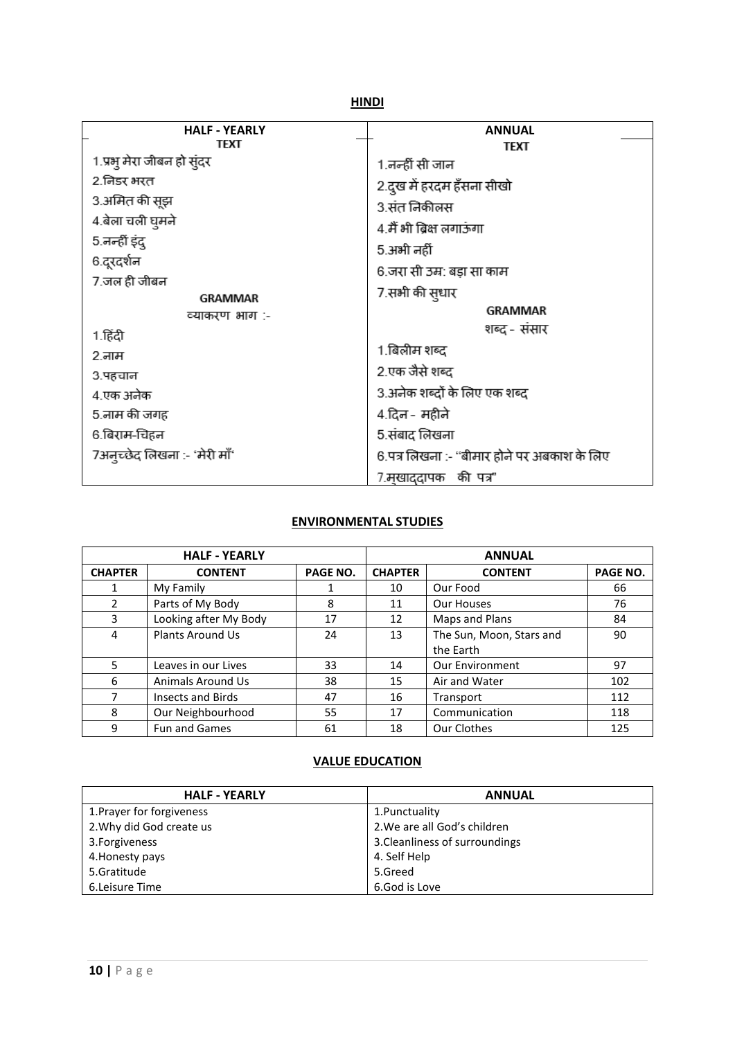#### **HINDI**

| <b>HALF - YEARLY</b>          | <b>ANNUAL</b>                               |  |
|-------------------------------|---------------------------------------------|--|
| TFXT                          | TEXT                                        |  |
| 1.प्रभ् मेरा जीबन हो सुंदर    | 1.नन्हीं सी जान                             |  |
| 2.जिडर भरत                    | 2.दुख में हरदम हँसना सीखो                   |  |
| 3.अमित की सूझ                 | 3.संत निकीलस                                |  |
| 4.बेला चली घुमने              | 4.मैं भी ब्रिक्ष लगाऊंगा                    |  |
| 5.नन्हीं इंद्                 | 5.अभी नहीं                                  |  |
| 6.दूरदर्शन                    |                                             |  |
| 7.जल ही जीबन                  | 6.जरा सी उम्र: बड़ा सा काम                  |  |
| <b>GRAMMAR</b>                | 7.सभी की सुधार                              |  |
| व्याकरण भाग :-                | GRAMMAR                                     |  |
| 1.हिंदी                       | शब्द - संसार                                |  |
| 2.नाम                         | 1.बिलीम शब्द                                |  |
| 3.पहचान                       | 2.एक जैसे शब्द                              |  |
| 4.एक अनेक                     | 3.अनेक शब्दों के लिए एक शब्द                |  |
| 5.नाम की जगह                  | 4.दिन - महीने                               |  |
| 6.बिराम-चिहन                  | 5.संबाद लिखना                               |  |
| 7अन्च्छेद लिखना :- 'मेरी माँ' | 6.पत्र लिखना :- "बीमार होने पर अबकाश के लिए |  |
|                               | 7.मृखाददापक की पत्र"                        |  |

## **ENVIRONMENTAL STUDIES**

| <b>HALF - YEARLY</b> |                         |          | <b>ANNUAL</b>  |                          |                 |
|----------------------|-------------------------|----------|----------------|--------------------------|-----------------|
| <b>CHAPTER</b>       | <b>CONTENT</b>          | PAGE NO. | <b>CHAPTER</b> | <b>CONTENT</b>           | <b>PAGE NO.</b> |
|                      | My Family               |          | 10             | Our Food                 | 66              |
| 2                    | Parts of My Body        | 8        | 11             | Our Houses               | 76              |
| 3                    | Looking after My Body   | 17       | 12             | Maps and Plans           | 84              |
| 4                    | <b>Plants Around Us</b> | 24       | 13             | The Sun, Moon, Stars and | 90              |
|                      |                         |          |                | the Earth                |                 |
| 5                    | Leaves in our Lives     | 33       | 14             | <b>Our Environment</b>   | 97              |
| 6                    | Animals Around Us       | 38       | 15             | Air and Water            | 102             |
| 7                    | Insects and Birds       | 47       | 16             | Transport                | 112             |
| 8                    | Our Neighbourhood       | 55       | 17             | Communication            | 118             |
| 9                    | Fun and Games           | 61       | 18             | Our Clothes              | 125             |

### **VALUE EDUCATION**

| <b>HALF - YEARLY</b>      | <b>ANNUAL</b>                  |
|---------------------------|--------------------------------|
| 1. Prayer for forgiveness | 1. Punctuality                 |
| 2. Why did God create us  | 2. We are all God's children   |
| 3. Forgiveness            | 3. Cleanliness of surroundings |
| 4. Honesty pays           | 4. Self Help                   |
| 5.Gratitude               | 5.Greed                        |
| 6.Leisure Time            | 6.God is Love                  |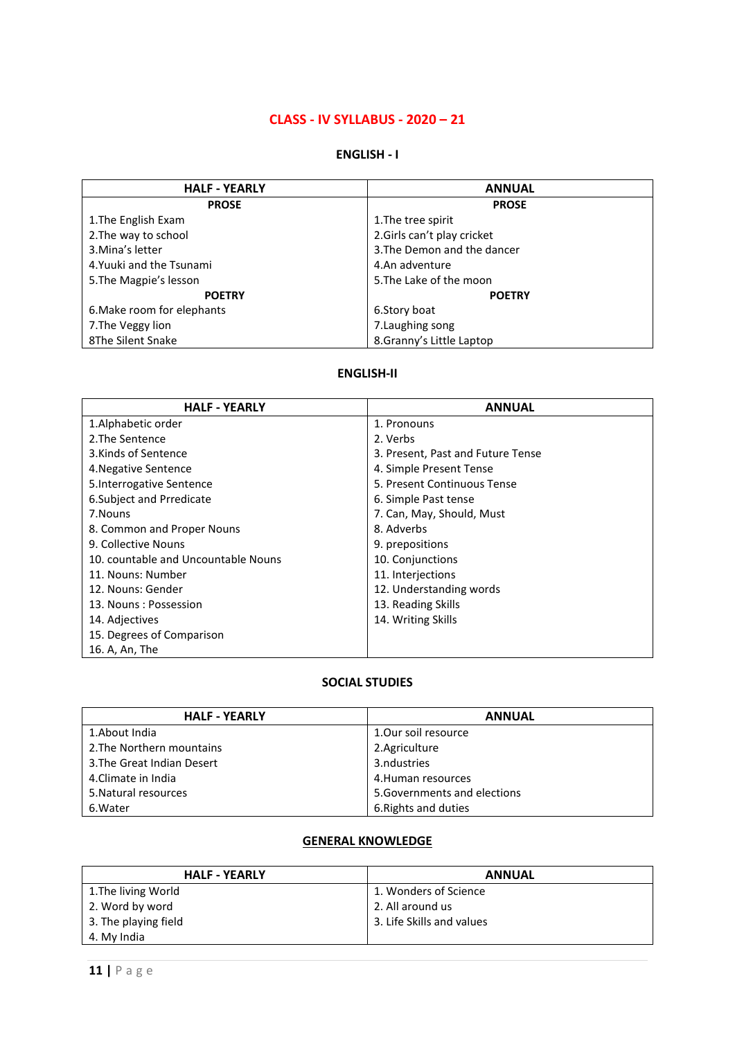### **CLASS - IV SYLLABUS - 2020 – 21**

#### **ENGLISH - I**

| <b>HALF - YEARLY</b>       | <b>ANNUAL</b>               |
|----------------------------|-----------------------------|
| <b>PROSE</b>               | <b>PROSE</b>                |
| 1. The English Exam        | 1. The tree spirit          |
| 2. The way to school       | 2.Girls can't play cricket  |
| 3. Mina's letter           | 3. The Demon and the dancer |
| 4. Yuuki and the Tsunami   | 4.An adventure              |
| 5. The Magpie's lesson     | 5. The Lake of the moon     |
| <b>POETRY</b>              | <b>POETRY</b>               |
| 6. Make room for elephants | 6.Story boat                |
| 7. The Veggy lion          | 7. Laughing song            |
| 8The Silent Snake          | 8.Granny's Little Laptop    |

#### **ENGLISH-II**

| <b>HALF - YEARLY</b>                | <b>ANNUAL</b>                     |
|-------------------------------------|-----------------------------------|
| 1. Alphabetic order                 | 1. Pronouns                       |
| 2. The Sentence                     | 2. Verbs                          |
| 3.Kinds of Sentence                 | 3. Present, Past and Future Tense |
| 4. Negative Sentence                | 4. Simple Present Tense           |
| 5. Interrogative Sentence           | 5. Present Continuous Tense       |
| 6. Subject and Prredicate           | 6. Simple Past tense              |
| 7. Nouns                            | 7. Can, May, Should, Must         |
| 8. Common and Proper Nouns          | 8. Adverbs                        |
| 9. Collective Nouns                 | 9. prepositions                   |
| 10. countable and Uncountable Nouns | 10. Conjunctions                  |
| 11. Nouns: Number                   | 11. Interjections                 |
| 12. Nouns: Gender                   | 12. Understanding words           |
| 13. Nouns: Possession               | 13. Reading Skills                |
| 14. Adjectives                      | 14. Writing Skills                |
| 15. Degrees of Comparison           |                                   |
| 16. A, An, The                      |                                   |

#### **SOCIAL STUDIES**

| <b>HALF - YEARLY</b>       | <b>ANNUAL</b>                |
|----------------------------|------------------------------|
| 1.About India              | 1.Our soil resource          |
| 2. The Northern mountains  | 2.Agriculture                |
| 3. The Great Indian Desert | 3.ndustries                  |
| 4. Climate in India        | 4. Human resources           |
| 5. Natural resources       | 5. Governments and elections |
| 6. Water                   | 6. Rights and duties         |

## **GENERAL KNOWLEDGE**

| <b>HALF - YEARLY</b> | <b>ANNUAL</b>             |
|----------------------|---------------------------|
| 1. The living World  | 1. Wonders of Science     |
| 2. Word by word      | 2. All around us          |
| 3. The playing field | 3. Life Skills and values |
| 4. My India          |                           |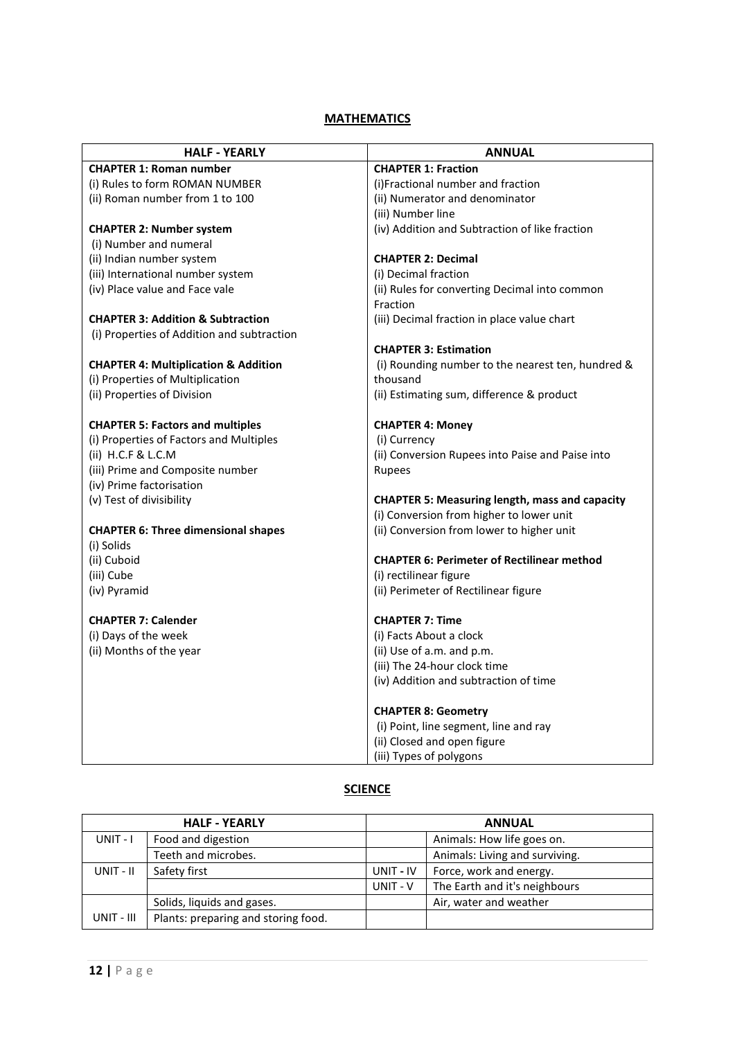| <b>HALF - YEARLY</b>                            | <b>ANNUAL</b>                                         |  |
|-------------------------------------------------|-------------------------------------------------------|--|
| <b>CHAPTER 1: Roman number</b>                  | <b>CHAPTER 1: Fraction</b>                            |  |
| (i) Rules to form ROMAN NUMBER                  | (i)Fractional number and fraction                     |  |
| (ii) Roman number from 1 to 100                 | (ii) Numerator and denominator                        |  |
|                                                 | (iii) Number line                                     |  |
| <b>CHAPTER 2: Number system</b>                 | (iv) Addition and Subtraction of like fraction        |  |
| (i) Number and numeral                          |                                                       |  |
| (ii) Indian number system                       | <b>CHAPTER 2: Decimal</b>                             |  |
| (iii) International number system               | (i) Decimal fraction                                  |  |
| (iv) Place value and Face vale                  | (ii) Rules for converting Decimal into common         |  |
|                                                 | Fraction                                              |  |
| <b>CHAPTER 3: Addition &amp; Subtraction</b>    | (iii) Decimal fraction in place value chart           |  |
| (i) Properties of Addition and subtraction      |                                                       |  |
|                                                 | <b>CHAPTER 3: Estimation</b>                          |  |
| <b>CHAPTER 4: Multiplication &amp; Addition</b> | (i) Rounding number to the nearest ten, hundred &     |  |
| (i) Properties of Multiplication                | thousand                                              |  |
| (ii) Properties of Division                     | (ii) Estimating sum, difference & product             |  |
| <b>CHAPTER 5: Factors and multiples</b>         | <b>CHAPTER 4: Money</b>                               |  |
| (i) Properties of Factors and Multiples         | (i) Currency                                          |  |
| (ii) $H.C.F & L.C.M$                            | (ii) Conversion Rupees into Paise and Paise into      |  |
| (iii) Prime and Composite number                | <b>Rupees</b>                                         |  |
| (iv) Prime factorisation                        |                                                       |  |
| (v) Test of divisibility                        | <b>CHAPTER 5: Measuring length, mass and capacity</b> |  |
|                                                 | (i) Conversion from higher to lower unit              |  |
| <b>CHAPTER 6: Three dimensional shapes</b>      | (ii) Conversion from lower to higher unit             |  |
| (i) Solids                                      |                                                       |  |
| (ii) Cuboid                                     | <b>CHAPTER 6: Perimeter of Rectilinear method</b>     |  |
| (iii) Cube                                      | (i) rectilinear figure                                |  |
| (iv) Pyramid                                    | (ii) Perimeter of Rectilinear figure                  |  |
| <b>CHAPTER 7: Calender</b>                      | <b>CHAPTER 7: Time</b>                                |  |
| (i) Days of the week                            | (i) Facts About a clock                               |  |
| (ii) Months of the year                         | (ii) Use of a.m. and p.m.                             |  |
|                                                 | (iii) The 24-hour clock time                          |  |
|                                                 | (iv) Addition and subtraction of time                 |  |
|                                                 |                                                       |  |
|                                                 | <b>CHAPTER 8: Geometry</b>                            |  |
|                                                 | (i) Point, line segment, line and ray                 |  |
|                                                 | (ii) Closed and open figure                           |  |
|                                                 | (iii) Types of polygons                               |  |

### **SCIENCE**

|            | <b>HALF - YEARLY</b>                | <b>ANNUAL</b> |                                |
|------------|-------------------------------------|---------------|--------------------------------|
| $UNIT - I$ | Food and digestion                  |               | Animals: How life goes on.     |
|            | Teeth and microbes.                 |               | Animals: Living and surviving. |
| UNIT - II  | Safety first                        | UNIT - IV     | Force, work and energy.        |
|            |                                     | UNIT - V      | The Earth and it's neighbours  |
|            | Solids, liquids and gases.          |               | Air, water and weather         |
| UNIT - III | Plants: preparing and storing food. |               |                                |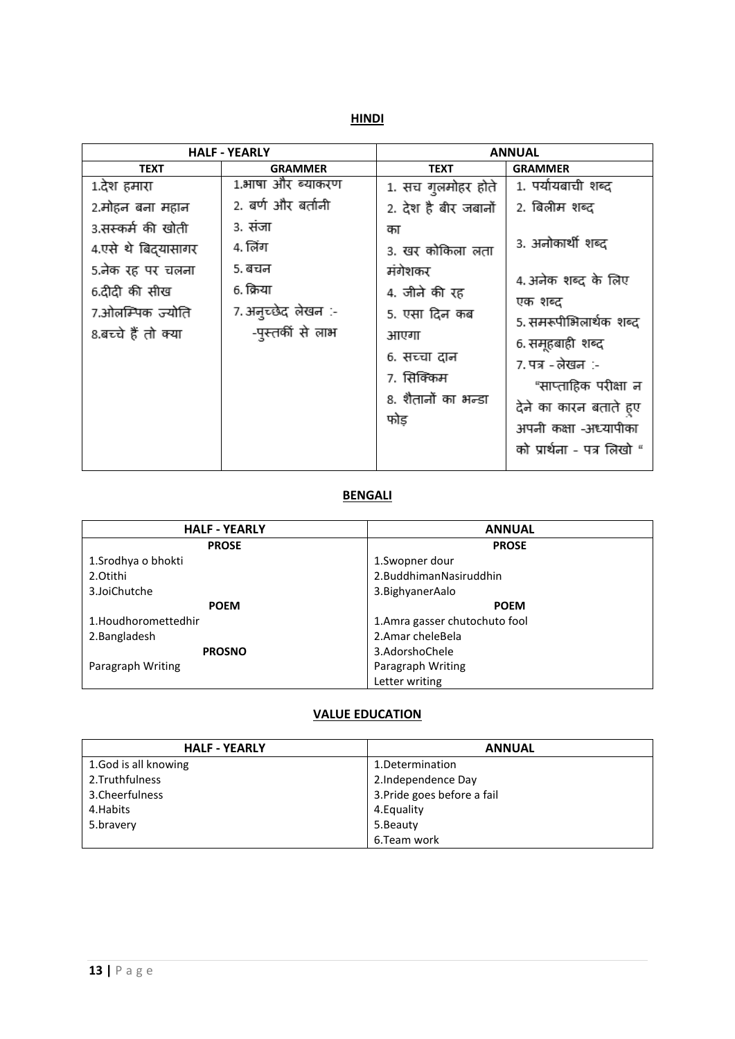**HINDI**

|                                                                              | <b>HALF - YEARLY</b>                                           |                                                                                                               | <b>ANNUAL</b>                                                                                                                                                                                              |
|------------------------------------------------------------------------------|----------------------------------------------------------------|---------------------------------------------------------------------------------------------------------------|------------------------------------------------------------------------------------------------------------------------------------------------------------------------------------------------------------|
| <b>TEXT</b>                                                                  | <b>GRAMMER</b>                                                 | <b>TEXT</b>                                                                                                   | <b>GRAMMER</b>                                                                                                                                                                                             |
| 1.देश हमारा                                                                  | 1.भाषा और ब्याकरण                                              | 1. सच गुलमोहर होते                                                                                            | 1. पर्यायबाची शब्द                                                                                                                                                                                         |
| 2.मोहन बना महान                                                              | 2. बर्ण और बर्तानी                                             | 2. देश है बीर जबानों                                                                                          | 2. बिलीम शब्द                                                                                                                                                                                              |
| 3.सस्कर्म की खोती                                                            | ३. संजा                                                        | का                                                                                                            |                                                                                                                                                                                                            |
| 4.एसे थे बिदयासागर                                                           | 4. लिंग                                                        | 3. खर कोकिला लता                                                                                              | 3. अनोकार्थी शब्द                                                                                                                                                                                          |
| 5.नेक रह पर चलना<br>6.दीदी की सीख<br>7.ओलम्पिक ज्योति<br>8.बच्चे हैं तो क्या | 5. बचन<br>6. क्रिया<br>7. अन्च्छेद लेखन :-<br>-पुस्तकीं से लाभ | मंगेशकर<br>4. जीने की रह<br>5. एसा दिन कब<br>आएगा<br>6. सच्चा दान<br>७. सिक्किम<br>8. शैतानों का भन्डा<br>फोड | 4. अनेक शब्द के लिए<br>एक शब्द<br>5. समरूपीभिलार्थक शब्द<br>6. समूहबाही शब्द<br>7. पत्र - लेखन :-<br>"साप्ताहिक परीक्षा न<br>देने का कारन बताते हुए<br>अपनी कक्षा -अध्यापीका<br>को प्रार्थना - पत्र लिखो " |

## **BENGALI**

| <b>HALF - YEARLY</b> | <b>ANNUAL</b>                 |
|----------------------|-------------------------------|
| <b>PROSE</b>         | <b>PROSE</b>                  |
| 1. Srodhya o bhokti  | 1. Swopner dour               |
| 2.Otithi             | 2. Buddhiman Nasiruddhin      |
| 3.JoiChutche         | 3. Bighyaner Aalo             |
| <b>POEM</b>          | <b>POEM</b>                   |
| 1.Houdhoromettedhir  | 1.Amra gasser chutochuto fool |
| 2. Bangladesh        | 2. Amar chele Bela            |
| <b>PROSNO</b>        | 3.AdorshoChele                |
| Paragraph Writing    | Paragraph Writing             |
|                      | Letter writing                |

#### **VALUE EDUCATION**

| <b>HALF - YEARLY</b> | <b>ANNUAL</b>               |
|----------------------|-----------------------------|
| 1.God is all knowing | 1. Determination            |
| 2. Truthfulness      | 2.Independence Day          |
| 3. Cheerfulness      | 3. Pride goes before a fail |
| 4. Habits            | 4. Equality                 |
| 5.bravery            | 5.Beauty                    |
|                      | 6.Team work                 |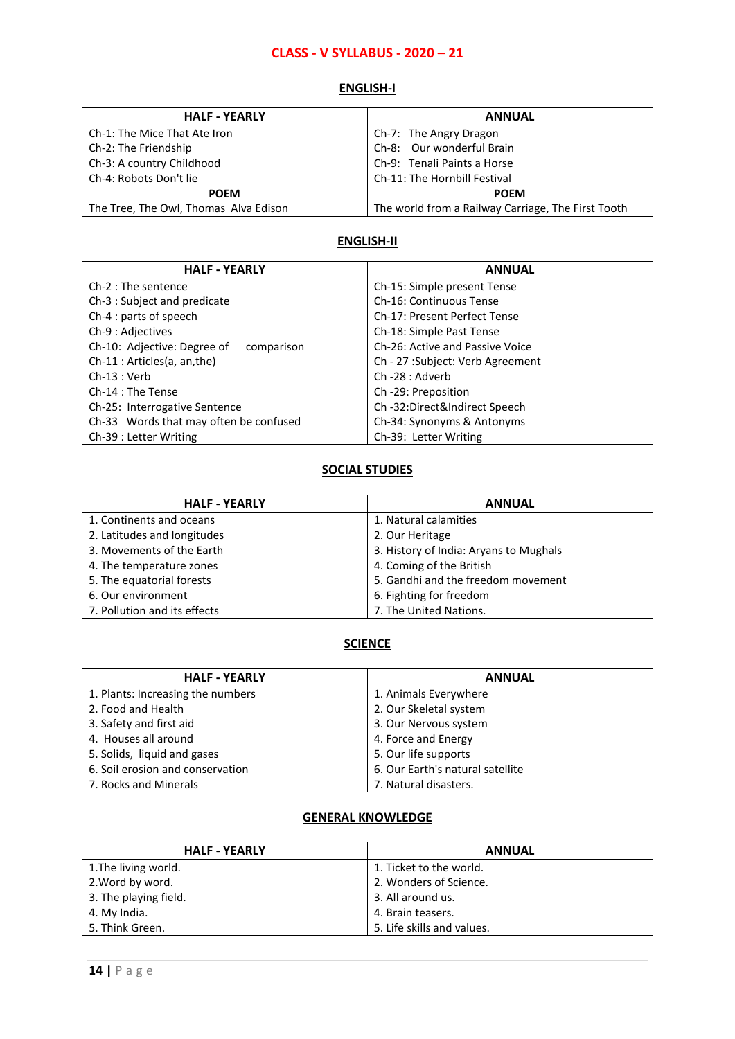## **CLASS - V SYLLABUS - 2020 – 21**

#### **ENGLISH-I**

| <b>HALF - YEARLY</b>                  | <b>ANNUAL</b>                                      |
|---------------------------------------|----------------------------------------------------|
| Ch-1: The Mice That Ate Iron          | Ch-7: The Angry Dragon                             |
| Ch-2: The Friendship                  | Ch-8: Our wonderful Brain                          |
| Ch-3: A country Childhood             | Ch-9: Tenali Paints a Horse                        |
| Ch-4: Robots Don't lie                | Ch-11: The Hornbill Festival                       |
| <b>POEM</b>                           | <b>POEM</b>                                        |
| The Tree, The Owl, Thomas Alva Edison | The world from a Railway Carriage, The First Tooth |

### **ENGLISH-II**

| <b>HALF - YEARLY</b>                      | <b>ANNUAL</b>                    |
|-------------------------------------------|----------------------------------|
| $Ch-2: The sentence$                      | Ch-15: Simple present Tense      |
| Ch-3 : Subject and predicate              | Ch-16: Continuous Tense          |
| Ch-4 : parts of speech                    | Ch-17: Present Perfect Tense     |
| Ch-9 : Adjectives                         | Ch-18: Simple Past Tense         |
| Ch-10: Adjective: Degree of<br>comparison | Ch-26: Active and Passive Voice  |
| Ch-11 : Articles(a, an, the)              | Ch - 27 :Subject: Verb Agreement |
| $Ch-13:Verb$                              | Ch -28 : Adverb                  |
| Ch-14 : The Tense                         | Ch-29: Preposition               |
| Ch-25: Interrogative Sentence             | Ch-32:Direct&Indirect Speech     |
| Ch-33 Words that may often be confused    | Ch-34: Synonyms & Antonyms       |
| Ch-39 : Letter Writing                    | Ch-39: Letter Writing            |

## **SOCIAL STUDIES**

| <b>HALF - YEARLY</b>         | <b>ANNUAL</b>                          |
|------------------------------|----------------------------------------|
| 1. Continents and oceans     | 1. Natural calamities                  |
| 2. Latitudes and longitudes  | 2. Our Heritage                        |
| 3. Movements of the Earth    | 3. History of India: Aryans to Mughals |
| 4. The temperature zones     | 4. Coming of the British               |
| 5. The equatorial forests    | 5. Gandhi and the freedom movement     |
| 6. Our environment           | 6. Fighting for freedom                |
| 7. Pollution and its effects | 7. The United Nations.                 |

## **SCIENCE**

| <b>HALF - YEARLY</b>              | <b>ANNUAL</b>                    |
|-----------------------------------|----------------------------------|
| 1. Plants: Increasing the numbers | 1. Animals Everywhere            |
| 2. Food and Health                | 2. Our Skeletal system           |
| 3. Safety and first aid           | 3. Our Nervous system            |
| 4. Houses all around              | 4. Force and Energy              |
| 5. Solids, liquid and gases       | 5. Our life supports             |
| 6. Soil erosion and conservation  | 6. Our Earth's natural satellite |
| 7. Rocks and Minerals             | 7. Natural disasters.            |

#### **GENERAL KNOWLEDGE**

| <b>HALF - YEARLY</b>  | <b>ANNUAL</b>              |
|-----------------------|----------------------------|
| 1. The living world.  | 1. Ticket to the world.    |
| 2. Word by word.      | 2. Wonders of Science.     |
| 3. The playing field. | 3. All around us.          |
| 4. My India.          | 4. Brain teasers.          |
| 5. Think Green.       | 5. Life skills and values. |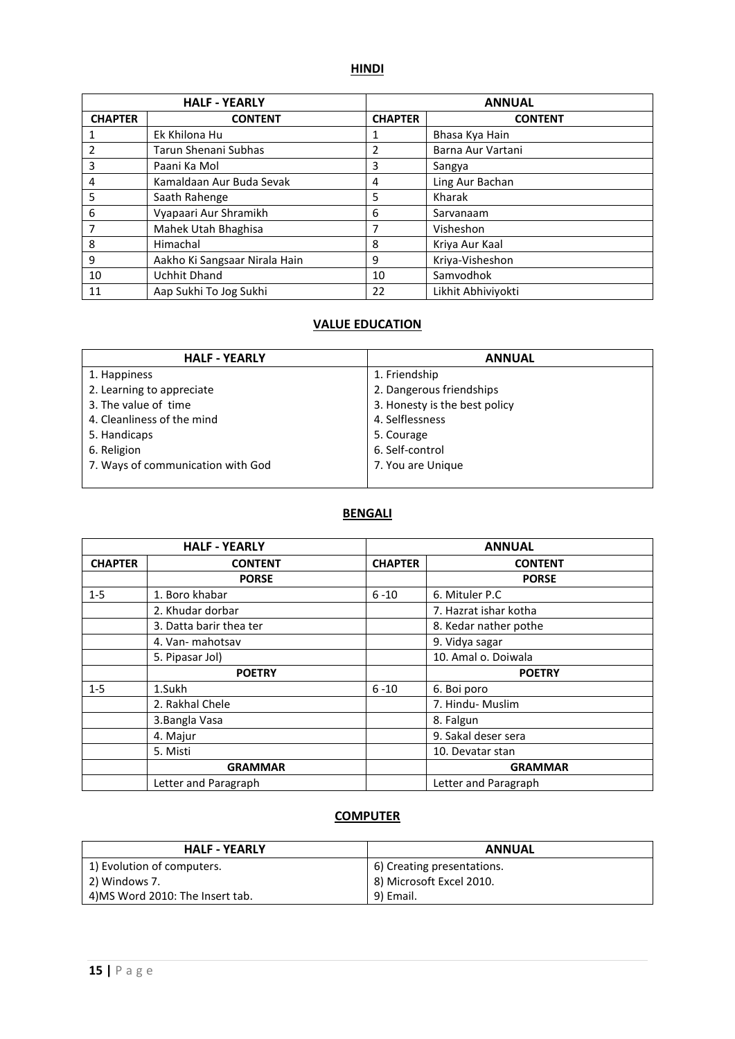### **HINDI**

|                | <b>HALF - YEARLY</b>          |                | <b>ANNUAL</b>      |
|----------------|-------------------------------|----------------|--------------------|
| <b>CHAPTER</b> | <b>CONTENT</b>                | <b>CHAPTER</b> | <b>CONTENT</b>     |
|                | Ek Khilona Hu                 | 1              | Bhasa Kya Hain     |
|                | Tarun Shenani Subhas          | 2              | Barna Aur Vartani  |
| 3              | Paani Ka Mol                  | 3              | Sangya             |
| 4              | Kamaldaan Aur Buda Sevak      | 4              | Ling Aur Bachan    |
| 5              | Saath Rahenge                 | 5              | Kharak             |
| 6              | Vyapaari Aur Shramikh         | 6              | Sarvanaam          |
|                | Mahek Utah Bhaghisa           | 7              | Visheshon          |
| 8              | Himachal                      | 8              | Kriya Aur Kaal     |
| 9              | Aakho Ki Sangsaar Nirala Hain | 9              | Kriya-Visheshon    |
| 10             | <b>Uchhit Dhand</b>           | 10             | Samvodhok          |
| 11             | Aap Sukhi To Jog Sukhi        | 22             | Likhit Abhiviyokti |

## **VALUE EDUCATION**

| <b>HALF - YEARLY</b>              | <b>ANNUAL</b>                 |
|-----------------------------------|-------------------------------|
| 1. Happiness                      | 1. Friendship                 |
| 2. Learning to appreciate         | 2. Dangerous friendships      |
| 3. The value of time              | 3. Honesty is the best policy |
| 4. Cleanliness of the mind        | 4. Selflessness               |
| 5. Handicaps                      | 5. Courage                    |
| 6. Religion                       | 6. Self-control               |
| 7. Ways of communication with God | 7. You are Unique             |
|                                   |                               |

#### **BENGALI**

|                | <b>HALF - YEARLY</b>    |                | <b>ANNUAL</b>         |
|----------------|-------------------------|----------------|-----------------------|
| <b>CHAPTER</b> | <b>CONTENT</b>          | <b>CHAPTER</b> | <b>CONTENT</b>        |
|                | <b>PORSE</b>            |                | <b>PORSE</b>          |
| $1-5$          | 1. Boro khabar          | $6 - 10$       | 6. Mituler P.C        |
|                | 2. Khudar dorbar        |                | 7. Hazrat ishar kotha |
|                | 3. Datta barir thea ter |                | 8. Kedar nather pothe |
|                | 4. Van- mahotsav        |                | 9. Vidya sagar        |
|                | 5. Pipasar Jol)         |                | 10. Amal o. Doiwala   |
|                | <b>POETRY</b>           |                | <b>POETRY</b>         |
| $1 - 5$        | 1.Sukh                  | $6 - 10$       | 6. Boi poro           |
|                | 2. Rakhal Chele         |                | 7. Hindu- Muslim      |
|                | 3. Bangla Vasa          |                | 8. Falgun             |
|                | 4. Majur                |                | 9. Sakal deser sera   |
|                | 5. Misti                |                | 10. Devatar stan      |
|                | <b>GRAMMAR</b>          |                | <b>GRAMMAR</b>        |
|                | Letter and Paragraph    |                | Letter and Paragraph  |

| <b>HALF - YEARLY</b>            | <b>ANNUAL</b>              |
|---------------------------------|----------------------------|
| 1) Evolution of computers.      | 6) Creating presentations. |
| 2) Windows 7.                   | 8) Microsoft Excel 2010.   |
| 4)MS Word 2010: The Insert tab. | 9) Email.                  |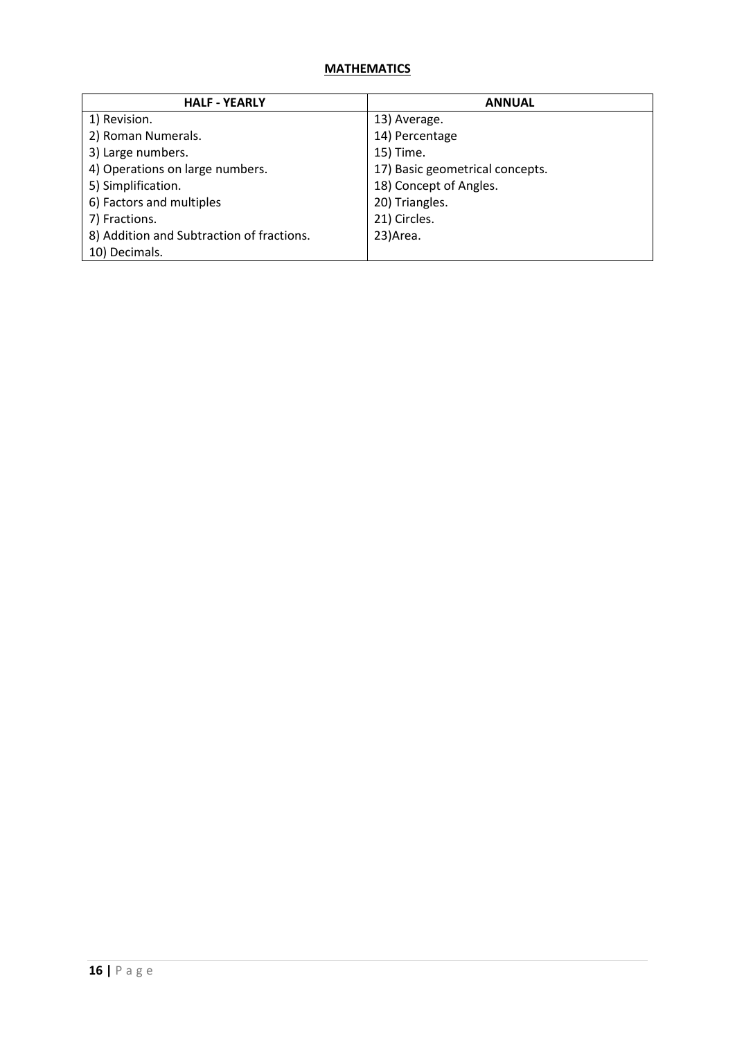| <b>HALF - YEARLY</b>                      | <b>ANNUAL</b>                   |
|-------------------------------------------|---------------------------------|
| 1) Revision.                              | 13) Average.                    |
| 2) Roman Numerals.                        | 14) Percentage                  |
| 3) Large numbers.                         | 15) Time.                       |
| 4) Operations on large numbers.           | 17) Basic geometrical concepts. |
| 5) Simplification.                        | 18) Concept of Angles.          |
| 6) Factors and multiples                  | 20) Triangles.                  |
| 7) Fractions.                             | 21) Circles.                    |
| 8) Addition and Subtraction of fractions. | 23) Area.                       |
| 10) Decimals.                             |                                 |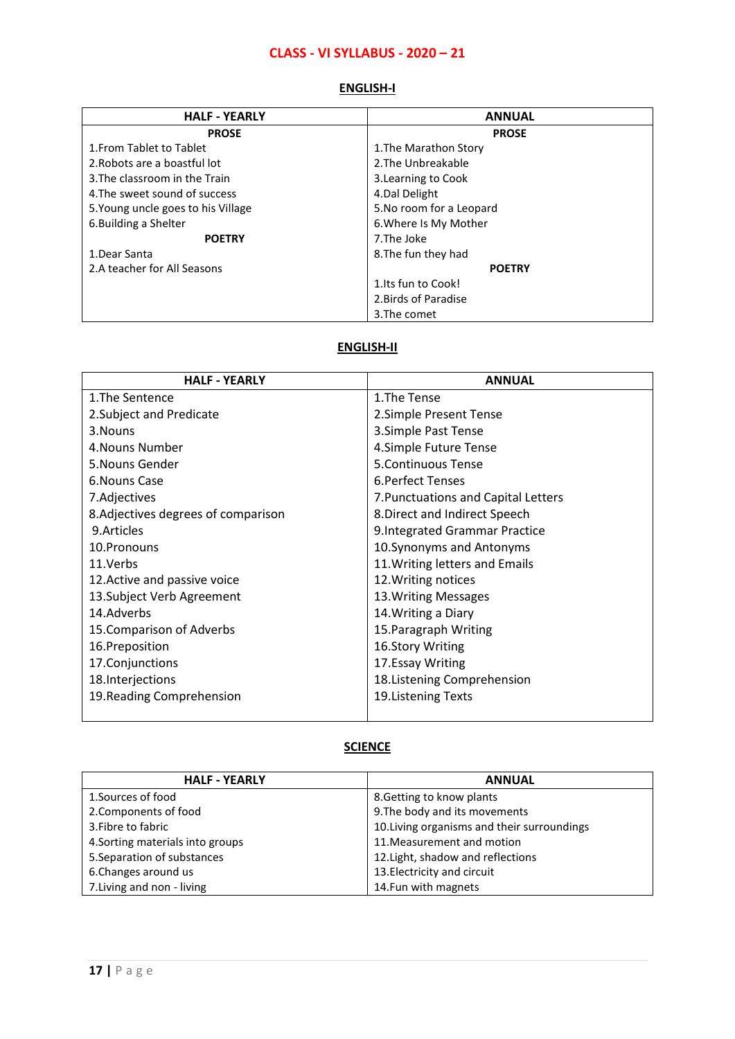# **CLASS - VI SYLLABUS - 2020 – 21**

| <b>HALF - YEARLY</b>               | <b>ANNUAL</b>            |
|------------------------------------|--------------------------|
| <b>PROSE</b>                       | <b>PROSE</b>             |
| 1. From Tablet to Tablet           | 1. The Marathon Story    |
| 2. Robots are a boastful lot       | 2. The Unbreakable       |
| 3. The classroom in the Train      | 3. Learning to Cook      |
| 4. The sweet sound of success      | 4. Dal Delight           |
| 5. Young uncle goes to his Village | 5. No room for a Leopard |
| 6. Building a Shelter              | 6. Where Is My Mother    |
| <b>POETRY</b>                      | 7.The Joke               |
| 1. Dear Santa                      | 8. The fun they had      |
| 2.A teacher for All Seasons        | <b>POETRY</b>            |
|                                    | 1. Its fun to Cook!      |
|                                    | 2. Birds of Paradise     |
|                                    | 3. The comet             |

#### **ENGLISH-I**

### **ENGLISH-II**

| <b>HALF - YEARLY</b>                | <b>ANNUAL</b>                       |
|-------------------------------------|-------------------------------------|
| 1. The Sentence                     | 1. The Tense                        |
| 2. Subject and Predicate            | 2.Simple Present Tense              |
| 3. Nouns                            | 3. Simple Past Tense                |
| 4. Nouns Number                     | 4.Simple Future Tense               |
| 5. Nouns Gender                     | 5. Continuous Tense                 |
| 6. Nouns Case                       | 6. Perfect Tenses                   |
| 7.Adjectives                        | 7. Punctuations and Capital Letters |
| 8. Adjectives degrees of comparison | 8. Direct and Indirect Speech       |
| 9. Articles                         | 9. Integrated Grammar Practice      |
| 10.Pronouns                         | 10. Synonyms and Antonyms           |
| 11.Verbs                            | 11. Writing letters and Emails      |
| 12. Active and passive voice        | 12. Writing notices                 |
| 13. Subject Verb Agreement          | 13. Writing Messages                |
| 14.Adverbs                          | 14. Writing a Diary                 |
| 15. Comparison of Adverbs           | 15. Paragraph Writing               |
| 16.Preposition                      | 16.Story Writing                    |
| 17.Conjunctions                     | 17. Essay Writing                   |
| 18.Interjections                    | 18. Listening Comprehension         |
| 19. Reading Comprehension           | 19. Listening Texts                 |
|                                     |                                     |

## **SCIENCE**

| <b>HALF - YEARLY</b>             | <b>ANNUAL</b>                               |
|----------------------------------|---------------------------------------------|
| 1. Sources of food               | 8. Getting to know plants                   |
| 2. Components of food            | 9. The body and its movements               |
| 3. Fibre to fabric               | 10. Living organisms and their surroundings |
| 4. Sorting materials into groups | 11. Measurement and motion                  |
| 5. Separation of substances      | 12. Light, shadow and reflections           |
| 6. Changes around us             | 13. Electricity and circuit                 |
| 7. Living and non - living       | 14. Fun with magnets                        |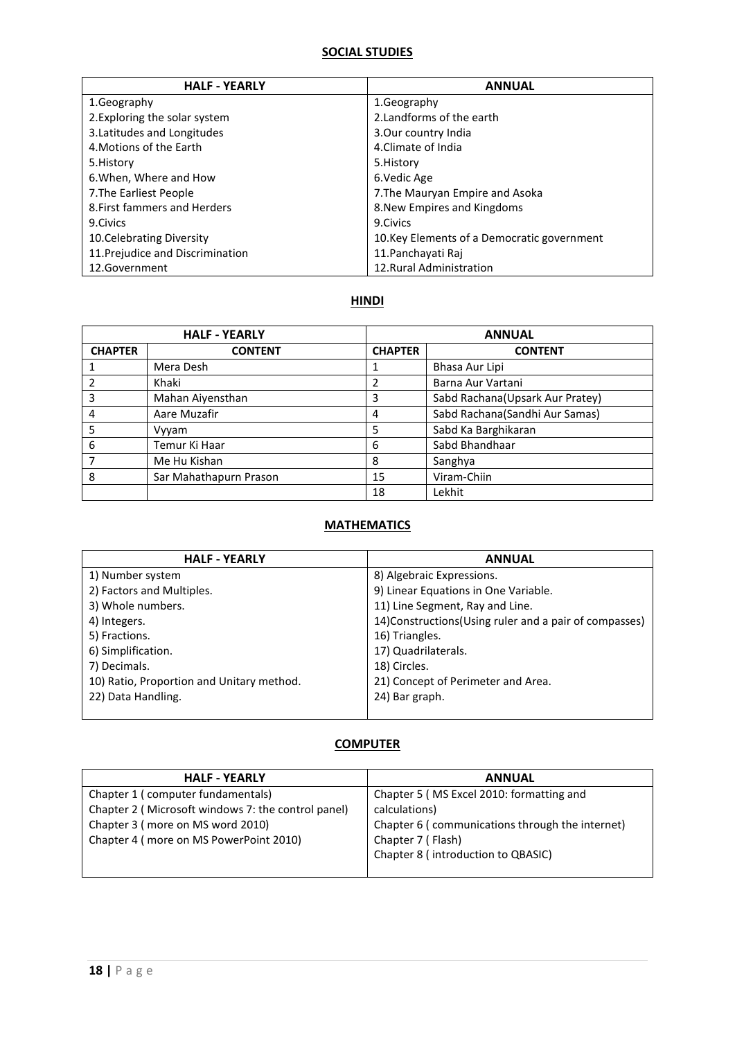## **SOCIAL STUDIES**

| <b>HALF - YEARLY</b>             | <b>ANNUAL</b>                               |
|----------------------------------|---------------------------------------------|
| 1.Geography                      | 1. Geography                                |
| 2. Exploring the solar system    | 2. Landforms of the earth                   |
| 3. Latitudes and Longitudes      | 3. Our country India                        |
| 4. Motions of the Earth          | 4. Climate of India                         |
| 5. History                       | 5. History                                  |
| 6. When, Where and How           | 6.Vedic Age                                 |
| 7. The Earliest People           | 7. The Mauryan Empire and Asoka             |
| 8. First fammers and Herders     | 8. New Empires and Kingdoms                 |
| 9.Civics                         | 9. Civics                                   |
| 10. Celebrating Diversity        | 10. Key Elements of a Democratic government |
| 11. Prejudice and Discrimination | 11. Panchayati Raj                          |
| 12.Government                    | 12. Rural Administration                    |

## **HINDI**

|                | <b>HALF - YEARLY</b>   |                | <b>ANNUAL</b>                   |
|----------------|------------------------|----------------|---------------------------------|
| <b>CHAPTER</b> | <b>CONTENT</b>         | <b>CHAPTER</b> | <b>CONTENT</b>                  |
|                | Mera Desh              |                | Bhasa Aur Lipi                  |
| 2              | Khaki                  | 2              | Barna Aur Vartani               |
| 3              | Mahan Aiyensthan       | 3              | Sabd Rachana(Upsark Aur Pratey) |
| 4              | Aare Muzafir           | 4              | Sabd Rachana(Sandhi Aur Samas)  |
| 5              | Vyyam                  | 5              | Sabd Ka Barghikaran             |
| 6              | Temur Ki Haar          | 6              | Sabd Bhandhaar                  |
|                | Me Hu Kishan           | 8              | Sanghya                         |
| 8              | Sar Mahathapurn Prason | 15             | Viram-Chiin                     |
|                |                        | 18             | Lekhit                          |

### **MATHEMATICS**

| <b>HALF - YEARLY</b>                      | <b>ANNUAL</b>                                           |
|-------------------------------------------|---------------------------------------------------------|
| 1) Number system                          | 8) Algebraic Expressions.                               |
| 2) Factors and Multiples.                 | 9) Linear Equations in One Variable.                    |
| 3) Whole numbers.                         | 11) Line Segment, Ray and Line.                         |
| 4) Integers.                              | 14) Constructions (Using ruler and a pair of compasses) |
| 5) Fractions.                             | 16) Triangles.                                          |
| 6) Simplification.                        | 17) Quadrilaterals.                                     |
| 7) Decimals.                              | 18) Circles.                                            |
| 10) Ratio, Proportion and Unitary method. | 21) Concept of Perimeter and Area.                      |
| 22) Data Handling.                        | 24) Bar graph.                                          |
|                                           |                                                         |

| <b>HALF - YEARLY</b>                               | <b>ANNUAL</b>                                   |
|----------------------------------------------------|-------------------------------------------------|
| Chapter 1 (computer fundamentals)                  | Chapter 5 (MS Excel 2010: formatting and        |
| Chapter 2 (Microsoft windows 7: the control panel) | calculations)                                   |
| Chapter 3 (more on MS word 2010)                   | Chapter 6 (communications through the internet) |
| Chapter 4 (more on MS PowerPoint 2010)             | Chapter 7 (Flash)                               |
|                                                    | Chapter 8 (introduction to QBASIC)              |
|                                                    |                                                 |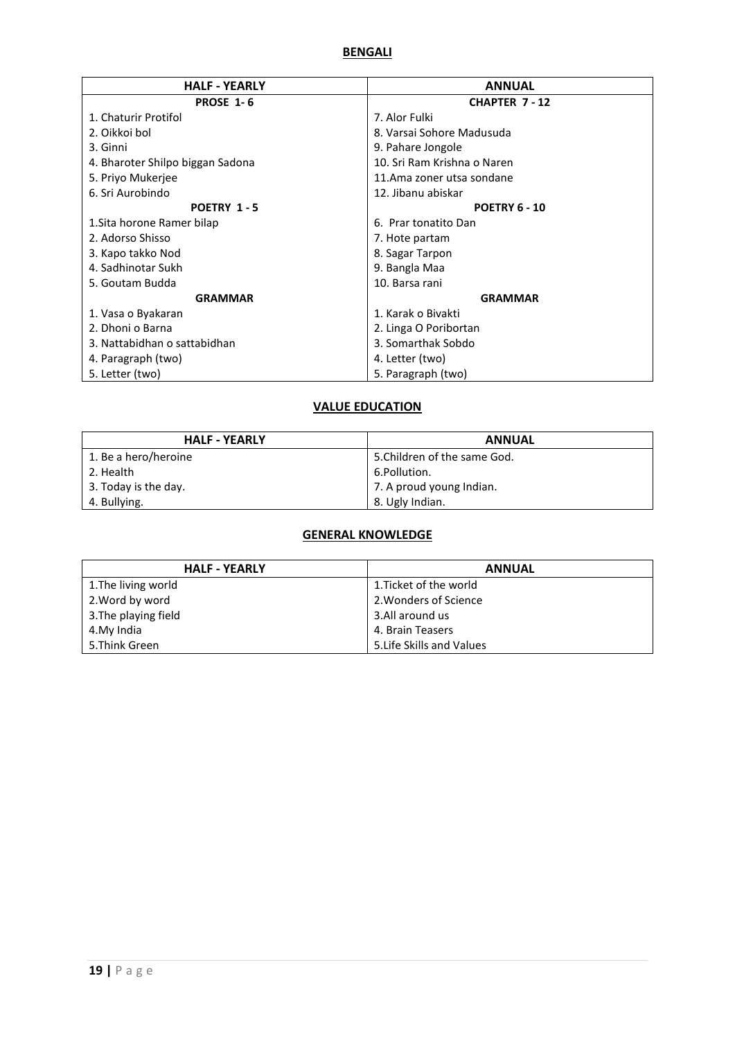#### **BENGALI**

| <b>HALF - YEARLY</b>             | <b>ANNUAL</b>               |
|----------------------------------|-----------------------------|
| <b>PROSE 1-6</b>                 | <b>CHAPTER 7-12</b>         |
| 1. Chaturir Protifol             | 7. Alor Fulki               |
| 2. Oikkoi bol                    | 8. Varsai Sohore Madusuda   |
| 3. Ginni                         | 9. Pahare Jongole           |
| 4. Bharoter Shilpo biggan Sadona | 10. Sri Ram Krishna o Naren |
| 5. Priyo Mukerjee                | 11.Ama zoner utsa sondane   |
| 6. Sri Aurobindo                 | 12. Jibanu abiskar          |
| POETRY 1-5                       | <b>POETRY 6 - 10</b>        |
| 1. Sita horone Ramer bilap       | 6. Prar tonatito Dan        |
| 2. Adorso Shisso                 | 7. Hote partam              |
| 3. Kapo takko Nod                | 8. Sagar Tarpon             |
| 4. Sadhinotar Sukh               | 9. Bangla Maa               |
| 5. Goutam Budda                  | 10. Barsa rani              |
| <b>GRAMMAR</b>                   | <b>GRAMMAR</b>              |
| 1. Vasa o Byakaran               | 1. Karak o Bivakti          |
| 2. Dhoni o Barna                 | 2. Linga O Poribortan       |
| 3. Nattabidhan o sattabidhan     | 3. Somarthak Sobdo          |
| 4. Paragraph (two)               | 4. Letter (two)             |
| 5. Letter (two)                  | 5. Paragraph (two)          |

## **VALUE EDUCATION**

| <b>HALF - YEARLY</b> | <b>ANNUAL</b>                |
|----------------------|------------------------------|
| 1. Be a hero/heroine | 5. Children of the same God. |
| 2. Health            | 6.Pollution.                 |
| 3. Today is the day. | 7. A proud young Indian.     |
| 4. Bullying.         | 8. Ugly Indian.              |

### **GENERAL KNOWLEDGE**

| <b>HALF - YEARLY</b> | <b>ANNUAL</b>             |
|----------------------|---------------------------|
| 1. The living world  | 1. Ticket of the world    |
| 2. Word by word      | 2. Wonders of Science     |
| 3. The playing field | 3.All around us           |
| 4.My India           | 4. Brain Teasers          |
| 5. Think Green       | 5. Life Skills and Values |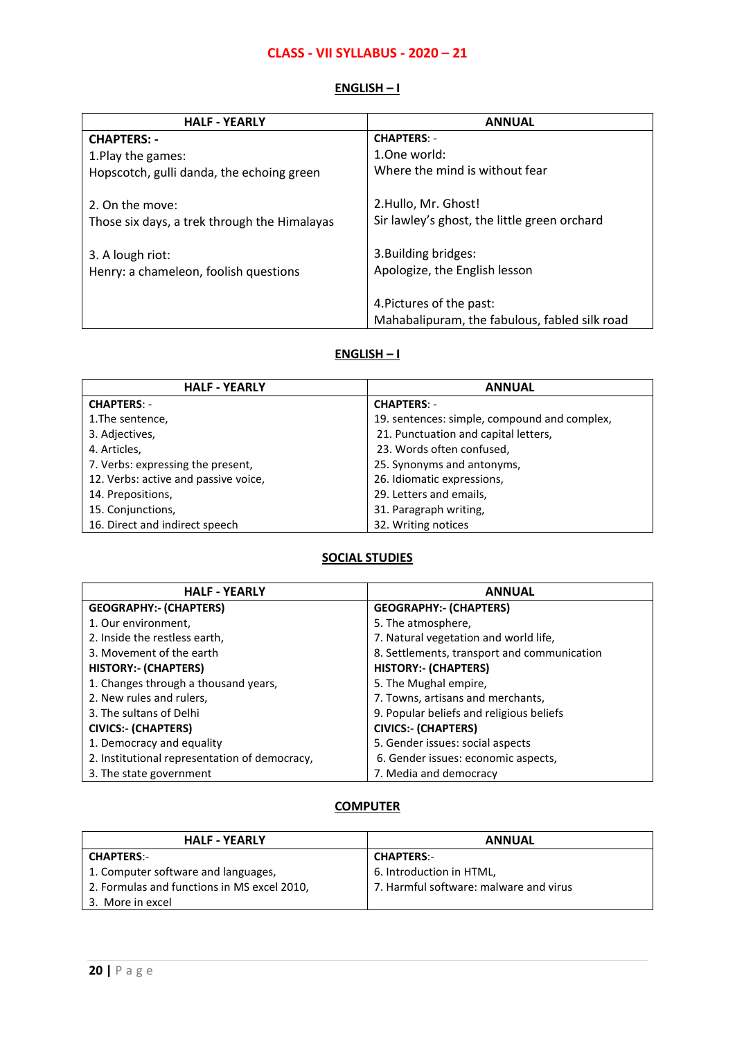### **CLASS - VII SYLLABUS - 2020 – 21**

#### **ENGLISH – I**

| <b>HALF - YEARLY</b>                         | <b>ANNUAL</b>                                 |
|----------------------------------------------|-----------------------------------------------|
| <b>CHAPTERS: -</b>                           | <b>CHAPTERS: -</b>                            |
| 1. Play the games:                           | 1.0ne world:                                  |
| Hopscotch, gulli danda, the echoing green    | Where the mind is without fear                |
|                                              |                                               |
| 2. On the move:                              | 2.Hullo, Mr. Ghost!                           |
| Those six days, a trek through the Himalayas | Sir lawley's ghost, the little green orchard  |
|                                              |                                               |
| 3. A lough riot:                             | 3. Building bridges:                          |
| Henry: a chameleon, foolish questions        | Apologize, the English lesson                 |
|                                              |                                               |
|                                              | 4. Pictures of the past:                      |
|                                              | Mahabalipuram, the fabulous, fabled silk road |

#### **ENGLISH – I**

| <b>HALF - YEARLY</b>                 | <b>ANNUAL</b>                                |
|--------------------------------------|----------------------------------------------|
| <b>CHAPTERS: -</b>                   | <b>CHAPTERS: -</b>                           |
| 1. The sentence,                     | 19. sentences: simple, compound and complex, |
| 3. Adjectives,                       | 21. Punctuation and capital letters,         |
| 4. Articles,                         | 23. Words often confused,                    |
| 7. Verbs: expressing the present,    | 25. Synonyms and antonyms,                   |
| 12. Verbs: active and passive voice, | 26. Idiomatic expressions,                   |
| 14. Prepositions,                    | 29. Letters and emails,                      |
| 15. Conjunctions,                    | 31. Paragraph writing,                       |
| 16. Direct and indirect speech       | 32. Writing notices                          |

## **SOCIAL STUDIES**

| <b>HALF - YEARLY</b>                          | <b>ANNUAL</b>                               |
|-----------------------------------------------|---------------------------------------------|
| <b>GEOGRAPHY:- (CHAPTERS)</b>                 | <b>GEOGRAPHY:- (CHAPTERS)</b>               |
| 1. Our environment,                           | 5. The atmosphere,                          |
| 2. Inside the restless earth,                 | 7. Natural vegetation and world life,       |
| 3. Movement of the earth                      | 8. Settlements, transport and communication |
| <b>HISTORY:- (CHAPTERS)</b>                   | <b>HISTORY:- (CHAPTERS)</b>                 |
| 1. Changes through a thousand years,          | 5. The Mughal empire,                       |
| 2. New rules and rulers,                      | 7. Towns, artisans and merchants,           |
| 3. The sultans of Delhi                       | 9. Popular beliefs and religious beliefs    |
| <b>CIVICS:- (CHAPTERS)</b>                    | <b>CIVICS:- (CHAPTERS)</b>                  |
| 1. Democracy and equality                     | 5. Gender issues: social aspects            |
| 2. Institutional representation of democracy, | 6. Gender issues: economic aspects,         |
| 3. The state government                       | 7. Media and democracy                      |

| <b>HALF - YEARLY</b>                        | <b>ANNUAL</b>                          |
|---------------------------------------------|----------------------------------------|
| <b>CHAPTERS:-</b>                           | <b>CHAPTERS:-</b>                      |
| 1. Computer software and languages,         | 6. Introduction in HTML,               |
| 2. Formulas and functions in MS excel 2010, | 7. Harmful software: malware and virus |
| 3. More in excel                            |                                        |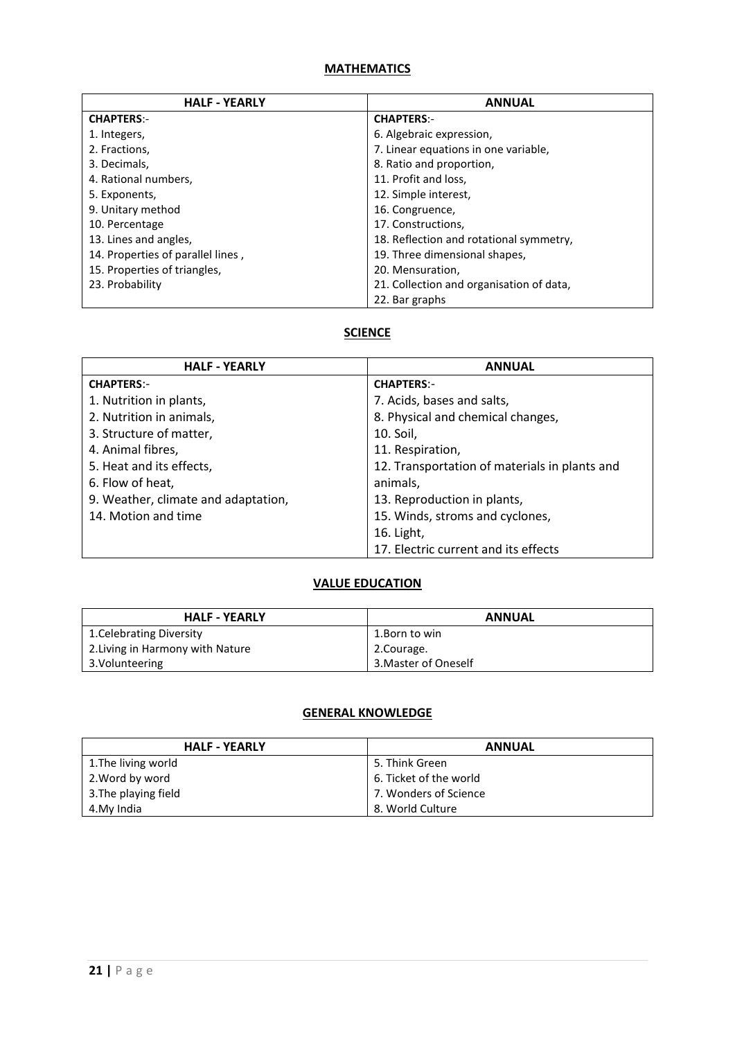| <b>HALF - YEARLY</b>              | <b>ANNUAL</b>                            |
|-----------------------------------|------------------------------------------|
| <b>CHAPTERS:-</b>                 | <b>CHAPTERS:-</b>                        |
| 1. Integers,                      | 6. Algebraic expression,                 |
| 2. Fractions,                     | 7. Linear equations in one variable,     |
| 3. Decimals,                      | 8. Ratio and proportion,                 |
| 4. Rational numbers,              | 11. Profit and loss,                     |
| 5. Exponents,                     | 12. Simple interest,                     |
| 9. Unitary method                 | 16. Congruence,                          |
| 10. Percentage                    | 17. Constructions.                       |
| 13. Lines and angles,             | 18. Reflection and rotational symmetry,  |
| 14. Properties of parallel lines, | 19. Three dimensional shapes,            |
| 15. Properties of triangles,      | 20. Mensuration,                         |
| 23. Probability                   | 21. Collection and organisation of data, |
|                                   | 22. Bar graphs                           |

### **SCIENCE**

| <b>HALF - YEARLY</b>                | <b>ANNUAL</b>                                 |
|-------------------------------------|-----------------------------------------------|
| <b>CHAPTERS:-</b>                   | <b>CHAPTERS:-</b>                             |
| 1. Nutrition in plants,             | 7. Acids, bases and salts,                    |
| 2. Nutrition in animals,            | 8. Physical and chemical changes,             |
| 3. Structure of matter,             | 10. Soil,                                     |
| 4. Animal fibres,                   | 11. Respiration,                              |
| 5. Heat and its effects,            | 12. Transportation of materials in plants and |
| 6. Flow of heat,                    | animals,                                      |
| 9. Weather, climate and adaptation, | 13. Reproduction in plants,                   |
| 14. Motion and time                 | 15. Winds, stroms and cyclones,               |
|                                     | 16. Light,                                    |
|                                     | 17. Electric current and its effects          |

## **VALUE EDUCATION**

| <b>HALF - YEARLY</b>             | <b>ANNUAL</b>        |
|----------------------------------|----------------------|
| 1. Celebrating Diversity         | 1.Born to win        |
| 2. Living in Harmony with Nature | 2.Courage.           |
| 3. Volunteering                  | 3. Master of Oneself |

## **GENERAL KNOWLEDGE**

| <b>HALF - YEARLY</b> | <b>ANNUAL</b>          |
|----------------------|------------------------|
| 1. The living world  | 5. Think Green         |
| 2. Word by word      | 6. Ticket of the world |
| 3. The playing field | 7. Wonders of Science  |
| 4.My India           | 8. World Culture       |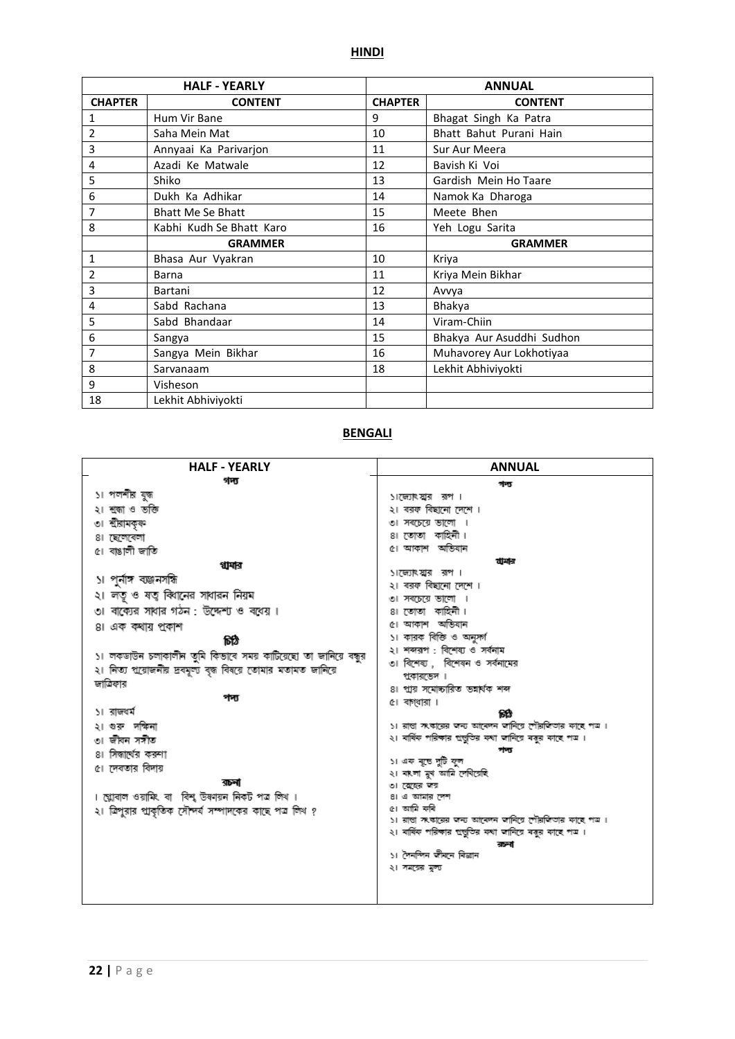|                | <b>HALF - YEARLY</b>     |                | <b>ANNUAL</b>             |
|----------------|--------------------------|----------------|---------------------------|
| <b>CHAPTER</b> | <b>CONTENT</b>           | <b>CHAPTER</b> | <b>CONTENT</b>            |
| 1              | Hum Vir Bane             | 9              | Bhagat Singh Ka Patra     |
| 2              | Saha Mein Mat            | 10             | Bhatt Bahut Purani Hain   |
| 3              | Annyaai Ka Parivarjon    | 11             | Sur Aur Meera             |
| 4              | Azadi Ke Matwale         | 12             | Bavish Ki Voi             |
| 5              | Shiko                    | 13             | Gardish Mein Ho Taare     |
| 6              | Dukh Ka Adhikar          | 14             | Namok Ka Dharoga          |
| 7              | <b>Bhatt Me Se Bhatt</b> | 15             | Meete Bhen                |
| 8              | Kabhi Kudh Se Bhatt Karo | 16             | Yeh Logu Sarita           |
|                | <b>GRAMMER</b>           |                | <b>GRAMMER</b>            |
| 1              | Bhasa Aur Vyakran        | 10             | Kriya                     |
| 2              | Barna                    | 11             | Kriya Mein Bikhar         |
| 3              | Bartani                  | 12             | Avvya                     |
| 4              | Sabd Rachana             | 13             | Bhakya                    |
| 5              | Sabd Bhandaar            | 14             | Viram-Chiin               |
| 6              | Sangya                   | 15             | Bhakya Aur Asuddhi Sudhon |
| 7              | Sangya Mein Bikhar       | 16             | Muhavorey Aur Lokhotiyaa  |
| 8              | Sarvanaam                | 18             | Lekhit Abhiviyokti        |
| 9              | Visheson                 |                |                           |
| 18             | Lekhit Abhiviyokti       |                |                           |

#### **BENGALI**

| <b>HALF - YEARLY</b>                                            | <b>ANNUAL</b>                                                        |
|-----------------------------------------------------------------|----------------------------------------------------------------------|
| গদ্য                                                            | গদ্য                                                                 |
| ১। পলশীর যুজ                                                    | ১।জ্যেখয়ার রপ।                                                      |
| ২। শ্ৰজাও ভক্তি                                                 | ২। বরক বিছানো দেশে ।                                                 |
| ৩। শ্রীরামকৃক্ণ                                                 | ৩। সবচেয়ে ভালো ।                                                    |
| ৪। ছেলেবেলা                                                     | ৪। তোতা কাহিনী।                                                      |
| ৫। বাঙালী জাতি                                                  | ৫। আকাশ অভিযান                                                       |
| থামার                                                           | যাদার                                                                |
| ১। পুর্নাঙ্গ ব্যঞ্জনসঙ্গি                                       | ১।জ্যেখয়ার রপ।<br>২। বরক বিছানো দেশে ।                              |
| ২। লতু ও ষত্ব বিগনের সাধারন নিয়ম                               | তা সবচেয়ে ভালো ।                                                    |
| া বাক্যের সাধার গঠন : উদ্দেশ্য ও বধেয়।                         | ৪। তোতা কাহিনী।                                                      |
| ৪। এক কথায় প্রকাশ                                              | ৫। আকাশ অভিযান                                                       |
| চিঠি                                                            | ১। কারক বিক্তি ও অনুসর্গ                                             |
|                                                                 | ২। শব্দরপ : বিশেষ্য ও সর্বনাম                                        |
| ১। লকডাউন চলাকালীন তুমি কিতাবে সময় কাটিয়েছো তা জানিয়ে বন্ধুর | ৩। বিশেষ্য , বিশেষন ও সর্বনামের                                      |
| ২। নিত্য প্রয়োজনীয় দ্রবমূল্য বৃদ্ধ বিষয়ে তোমার মতামত জানিয়ে | প্রকারতেদ ।                                                          |
| জাত্রিফার                                                       | ৪। প্রায় সমোচ্চারিত ভন্নর্থক শব্দ                                   |
| পদ্য                                                            | ৫। বাগ্ধারা ।                                                        |
| ১। রাজধর্ম                                                      | 敞                                                                    |
| ২। গুরু দক্ষিনা                                                 | ১। রাতা সংকারের জন্য আবেদন জানিয়ে দৌরজিতার কাছে পত্র।               |
| ৩। জীবন সসীত                                                    | ২। বর্ষিক পরিক্ষার প্রভুতির কথা জানিয়ে বকুর কাছে পত্র।              |
| ৪। সিদ্ধার্থের করন্যা                                           | ১। এক বুতে দুটি ফুল                                                  |
| ৫। দেবতার বিদায়                                                | ২। বাংলা মুখ আমি লেখিয়েছি                                           |
| রচলা                                                            | ৩। স্মেহর জয়                                                        |
| । শ্ল্লোবাল ওয়ামিং বা বিশ্ব উষণয়ন নিকট পত্ৰ লিখ ।             | ৪। এ আমার দেশ                                                        |
| ২। ত্রিপুরার প্রাকৃতিক সৌন্দর্য সম্পাদকের কাছে পত্র লিখ ?       | ৫। আমি কৰি<br>১। রাতা সংকারের জন্য আবেদন জানিয়ে শৌরজিতার কাছে পত্র। |
|                                                                 | ২। বার্ষিক পরিক্ষার প্রভুতির কথা জানিয়ে বকুর কাছে পত্র।             |
|                                                                 | রচনা                                                                 |
|                                                                 | ১। দৈনন্দিন জীবনে বিজ্ঞান                                            |
|                                                                 | ২। সময়ের মুল্য                                                      |
|                                                                 |                                                                      |
|                                                                 |                                                                      |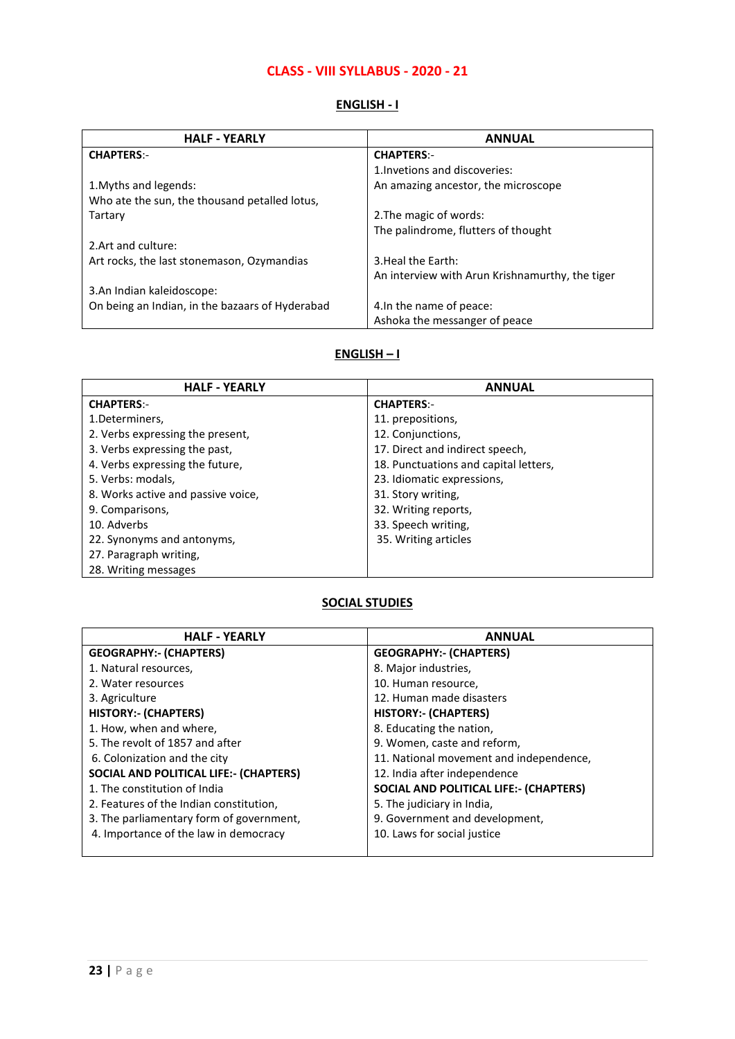### **CLASS - VIII SYLLABUS - 2020 - 21**

### **ENGLISH - I**

| <b>HALF - YEARLY</b>                            | <b>ANNUAL</b>                                   |
|-------------------------------------------------|-------------------------------------------------|
| <b>CHAPTERS:-</b>                               | <b>CHAPTERS:-</b>                               |
|                                                 | 1. Invetions and discoveries:                   |
| 1. Myths and legends:                           | An amazing ancestor, the microscope             |
| Who ate the sun, the thousand petalled lotus,   |                                                 |
| Tartary                                         | 2. The magic of words:                          |
|                                                 | The palindrome, flutters of thought             |
| 2. Art and culture:                             |                                                 |
| Art rocks, the last stonemason, Ozymandias      | 3. Heal the Earth:                              |
|                                                 | An interview with Arun Krishnamurthy, the tiger |
| 3.An Indian kaleidoscope:                       |                                                 |
| On being an Indian, in the bazaars of Hyderabad | 4. In the name of peace:                        |
|                                                 | Ashoka the messanger of peace                   |

#### **ENGLISH – I**

| <b>HALF - YEARLY</b>               | <b>ANNUAL</b>                         |
|------------------------------------|---------------------------------------|
| <b>CHAPTERS:-</b>                  | <b>CHAPTERS:-</b>                     |
| 1.Determiners,                     | 11. prepositions,                     |
| 2. Verbs expressing the present,   | 12. Conjunctions,                     |
| 3. Verbs expressing the past,      | 17. Direct and indirect speech,       |
| 4. Verbs expressing the future,    | 18. Punctuations and capital letters, |
| 5. Verbs: modals,                  | 23. Idiomatic expressions,            |
| 8. Works active and passive voice, | 31. Story writing,                    |
| 9. Comparisons,                    | 32. Writing reports,                  |
| 10. Adverbs                        | 33. Speech writing,                   |
| 22. Synonyms and antonyms,         | 35. Writing articles                  |
| 27. Paragraph writing,             |                                       |
| 28. Writing messages               |                                       |

## **SOCIAL STUDIES**

| <b>HALF - YEARLY</b>                          | <b>ANNUAL</b>                           |
|-----------------------------------------------|-----------------------------------------|
| <b>GEOGRAPHY:- (CHAPTERS)</b>                 | <b>GEOGRAPHY:- (CHAPTERS)</b>           |
| 1. Natural resources,                         | 8. Major industries,                    |
| 2. Water resources                            | 10. Human resource,                     |
| 3. Agriculture                                | 12. Human made disasters                |
| <b>HISTORY:- (CHAPTERS)</b>                   | <b>HISTORY:- (CHAPTERS)</b>             |
| 1. How, when and where,                       | 8. Educating the nation,                |
| 5. The revolt of 1857 and after               | 9. Women, caste and reform,             |
| 6. Colonization and the city                  | 11. National movement and independence, |
| <b>SOCIAL AND POLITICAL LIFE:- (CHAPTERS)</b> | 12. India after independence            |
| 1. The constitution of India                  | SOCIAL AND POLITICAL LIFE:- (CHAPTERS)  |
| 2. Features of the Indian constitution,       | 5. The judiciary in India,              |
| 3. The parliamentary form of government,      | 9. Government and development,          |
| 4. Importance of the law in democracy         | 10. Laws for social justice             |
|                                               |                                         |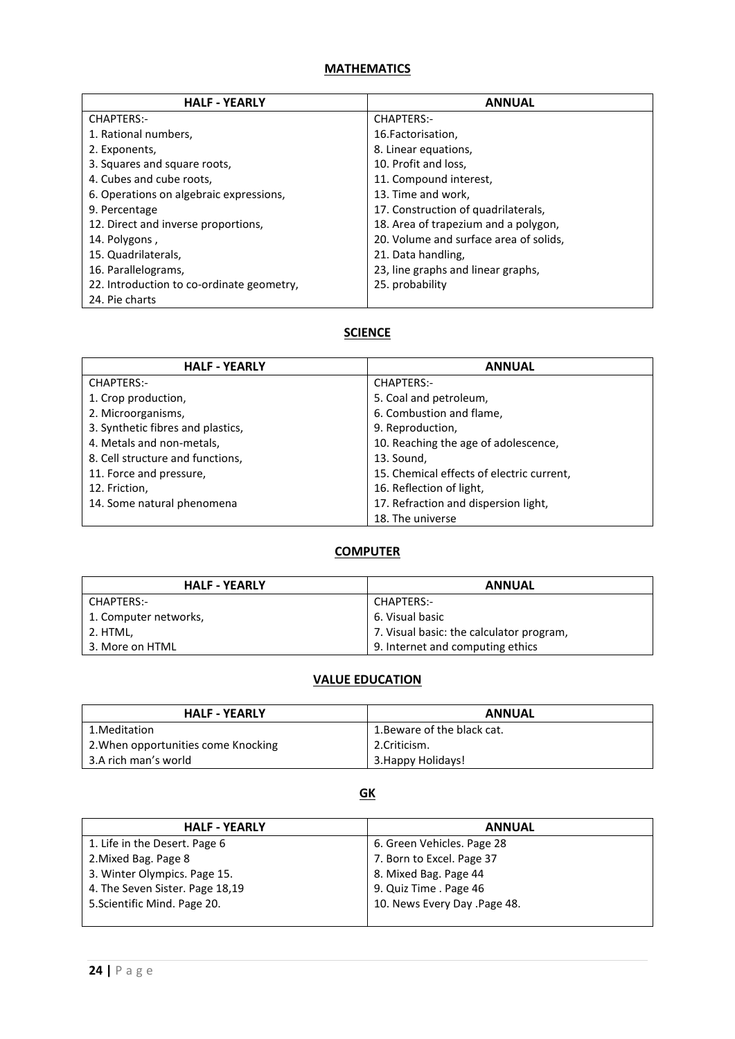| <b>HALF - YEARLY</b>                      | <b>ANNUAL</b>                          |
|-------------------------------------------|----------------------------------------|
| <b>CHAPTERS:-</b>                         | CHAPTERS:-                             |
| 1. Rational numbers,                      | 16. Factorisation,                     |
| 2. Exponents,                             | 8. Linear equations,                   |
| 3. Squares and square roots,              | 10. Profit and loss,                   |
| 4. Cubes and cube roots,                  | 11. Compound interest,                 |
| 6. Operations on algebraic expressions,   | 13. Time and work,                     |
| 9. Percentage                             | 17. Construction of quadrilaterals,    |
| 12. Direct and inverse proportions,       | 18. Area of trapezium and a polygon,   |
| 14. Polygons,                             | 20. Volume and surface area of solids, |
| 15. Quadrilaterals,                       | 21. Data handling,                     |
| 16. Parallelograms,                       | 23, line graphs and linear graphs,     |
| 22. Introduction to co-ordinate geometry, | 25. probability                        |
| 24. Pie charts                            |                                        |

## **SCIENCE**

| <b>HALF - YEARLY</b>              | <b>ANNUAL</b>                             |
|-----------------------------------|-------------------------------------------|
| <b>CHAPTERS:-</b>                 | <b>CHAPTERS:-</b>                         |
| 1. Crop production,               | 5. Coal and petroleum,                    |
| 2. Microorganisms,                | 6. Combustion and flame,                  |
| 3. Synthetic fibres and plastics, | 9. Reproduction,                          |
| 4. Metals and non-metals,         | 10. Reaching the age of adolescence,      |
| 8. Cell structure and functions,  | 13. Sound,                                |
| 11. Force and pressure,           | 15. Chemical effects of electric current, |
| 12. Friction,                     | 16. Reflection of light,                  |
| 14. Some natural phenomena        | 17. Refraction and dispersion light,      |
|                                   | 18. The universe                          |

### **COMPUTER**

| <b>HALF - YEARLY</b>  | <b>ANNUAL</b>                            |
|-----------------------|------------------------------------------|
| CHAPTERS:-            | CHAPTERS:-                               |
| 1. Computer networks, | 6. Visual basic                          |
| 2. HTML,              | 7. Visual basic: the calculator program, |
| 3. More on HTML       | 9. Internet and computing ethics         |

### **VALUE EDUCATION**

| <b>HALF - YEARLY</b>                | <b>ANNUAL</b>               |
|-------------------------------------|-----------------------------|
| 1. Meditation                       | 1. Beware of the black cat. |
| 2. When opportunities come Knocking | 2.Criticism.                |
| 3.A rich man's world                | 3. Happy Holidays!          |

## **GK**

| <b>HALF - YEARLY</b>            | <b>ANNUAL</b>                |
|---------------------------------|------------------------------|
| 1. Life in the Desert. Page 6   | 6. Green Vehicles. Page 28   |
| 2. Mixed Bag. Page 8            | 7. Born to Excel. Page 37    |
| 3. Winter Olympics. Page 15.    | 8. Mixed Bag. Page 44        |
| 4. The Seven Sister. Page 18,19 | 9. Quiz Time . Page 46       |
| 5. Scientific Mind. Page 20.    | 10. News Every Day .Page 48. |
|                                 |                              |